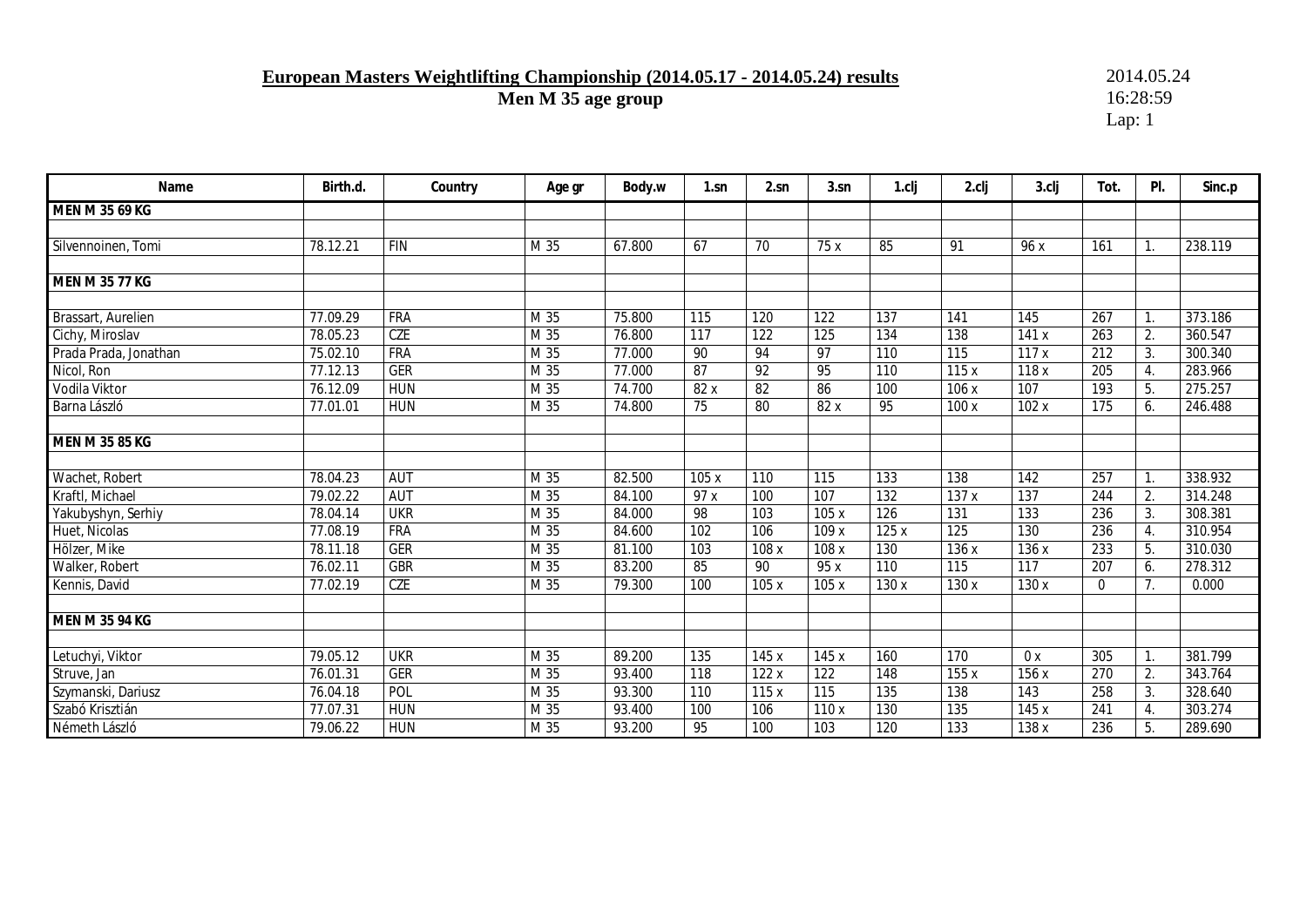# **European Masters Weightlifting Championship (2014.05.17 - 2014.05.24) results** 2014.05.24<br>Men M 35 age group 16:28:59

Men M 35 age group

| Name                  | Birth.d. | Country    | Age gr | Body.w | $1$ .sn | 2.sn            | 3.sn             | 1.cli            | 2.clj | 3.clj | Tot.             | PI.            | Sinc.p  |
|-----------------------|----------|------------|--------|--------|---------|-----------------|------------------|------------------|-------|-------|------------------|----------------|---------|
| MEN M 35 69 KG        |          |            |        |        |         |                 |                  |                  |       |       |                  |                |         |
|                       |          |            |        |        |         |                 |                  |                  |       |       |                  |                |         |
| Silvennoinen, Tomi    | 78.12.21 | <b>FIN</b> | M 35   | 67.800 | 67      | 70              | 75 x             | 85               | 91    | 96 x  | 161              | $\mathbf{1}$ . | 238.119 |
|                       |          |            |        |        |         |                 |                  |                  |       |       |                  |                |         |
| MEN M 35 77 KG        |          |            |        |        |         |                 |                  |                  |       |       |                  |                |         |
|                       |          |            |        |        |         |                 |                  |                  |       |       |                  |                |         |
| Brassart, Aurelien    | 77.09.29 | FRA        | M 35   | 75.800 | 115     | 120             | $\overline{122}$ | $\overline{137}$ | 141   | 145   | $\overline{267}$ | $\mathbf{1}$ . | 373.186 |
| Cichy, Miroslav       | 78.05.23 | <b>CZE</b> | M 35   | 76.800 | 117     | 122             | 125              | 134              | 138   | 141x  | 263              | 2.             | 360.547 |
| Prada Prada, Jonathan | 75.02.10 | <b>FRA</b> | M 35   | 77.000 | 90      | 94              | $\overline{97}$  | 110              | 115   | 117x  | $\overline{212}$ | 3.             | 300.340 |
| Nicol, Ron            | 77.12.13 | <b>GER</b> | M 35   | 77.000 | 87      | 92              | 95               | 110              | 115x  | 118x  | 205              | 4.             | 283.966 |
| Vodila Viktor         | 76.12.09 | <b>HUN</b> | M 35   | 74.700 | 82 x    | $\overline{82}$ | 86               | 100              | 106 x | 107   | 193              | 5.             | 275.257 |
| Barna László          | 77.01.01 | <b>HUN</b> | M 35   | 74.800 | 75      | 80              | 82 x             | 95               | 100x  | 102x  | 175              | 6.             | 246.488 |
|                       |          |            |        |        |         |                 |                  |                  |       |       |                  |                |         |
| MEN M 35 85 KG        |          |            |        |        |         |                 |                  |                  |       |       |                  |                |         |
|                       |          |            |        |        |         |                 |                  |                  |       |       |                  |                |         |
| Wachet, Robert        | 78.04.23 | <b>AUT</b> | M 35   | 82.500 | 105x    | 110             | 115              | 133              | 138   | 142   | 257              | $\mathbf{1}$ . | 338.932 |
| Kraftl, Michael       | 79.02.22 | <b>AUT</b> | M 35   | 84.100 | 97 x    | 100             | 107              | 132              | 137x  | 137   | 244              | 2.             | 314.248 |
| Yakubyshyn, Serhiy    | 78.04.14 | <b>UKR</b> | M 35   | 84.000 | 98      | 103             | 105 x            | 126              | 131   | 133   | 236              | 3.             | 308.381 |
| Huet, Nicolas         | 77.08.19 | <b>FRA</b> | M 35   | 84.600 | 102     | 106             | 109 x            | 125x             | 125   | 130   | 236              | 4.             | 310.954 |
| Hölzer, Mike          | 78.11.18 | <b>GER</b> | M 35   | 81.100 | 103     | 108 x           | 108 x            | 130              | 136 x | 136 x | 233              | 5.             | 310.030 |
| Walker, Robert        | 76.02.11 | <b>GBR</b> | M 35   | 83.200 | 85      | 90              | 95 x             | 110              | 115   | 117   | 207              | 6.             | 278.312 |
| Kennis, David         | 77.02.19 | CZE        | M 35   | 79.300 | 100     | 105x            | 105 x            | 130 x            | 130 x | 130 x | 0                | 7 <sub>1</sub> | 0.000   |
|                       |          |            |        |        |         |                 |                  |                  |       |       |                  |                |         |
| <b>MEN M 35 94 KG</b> |          |            |        |        |         |                 |                  |                  |       |       |                  |                |         |
|                       |          |            |        |        |         |                 |                  |                  |       |       |                  |                |         |
| Letuchyi, Viktor      | 79.05.12 | <b>UKR</b> | M 35   | 89.200 | 135     | 145 x           | 145 x            | 160              | 170   | 0x    | 305              | $\mathbf{1}$ . | 381.799 |
| Struve, Jan           | 76.01.31 | <b>GER</b> | M 35   | 93.400 | 118     | 122x            | 122              | 148              | 155 x | 156 x | 270              | 2.             | 343.764 |
| Szymanski, Dariusz    | 76.04.18 | POL        | M 35   | 93.300 | 110     | 115x            | 115              | $\overline{135}$ | 138   | 143   | 258              | 3.             | 328.640 |
| Szabó Krisztián       | 77.07.31 | <b>HUN</b> | M 35   | 93.400 | 100     | 106             | 110 x            | 130              | 135   | 145 x | 241              | 4.             | 303.274 |
| Németh László         | 79.06.22 | <b>HUN</b> | M 35   | 93.200 | 95      | 100             | 103              | 120              | 133   | 138 x | 236              | 5.             | 289.690 |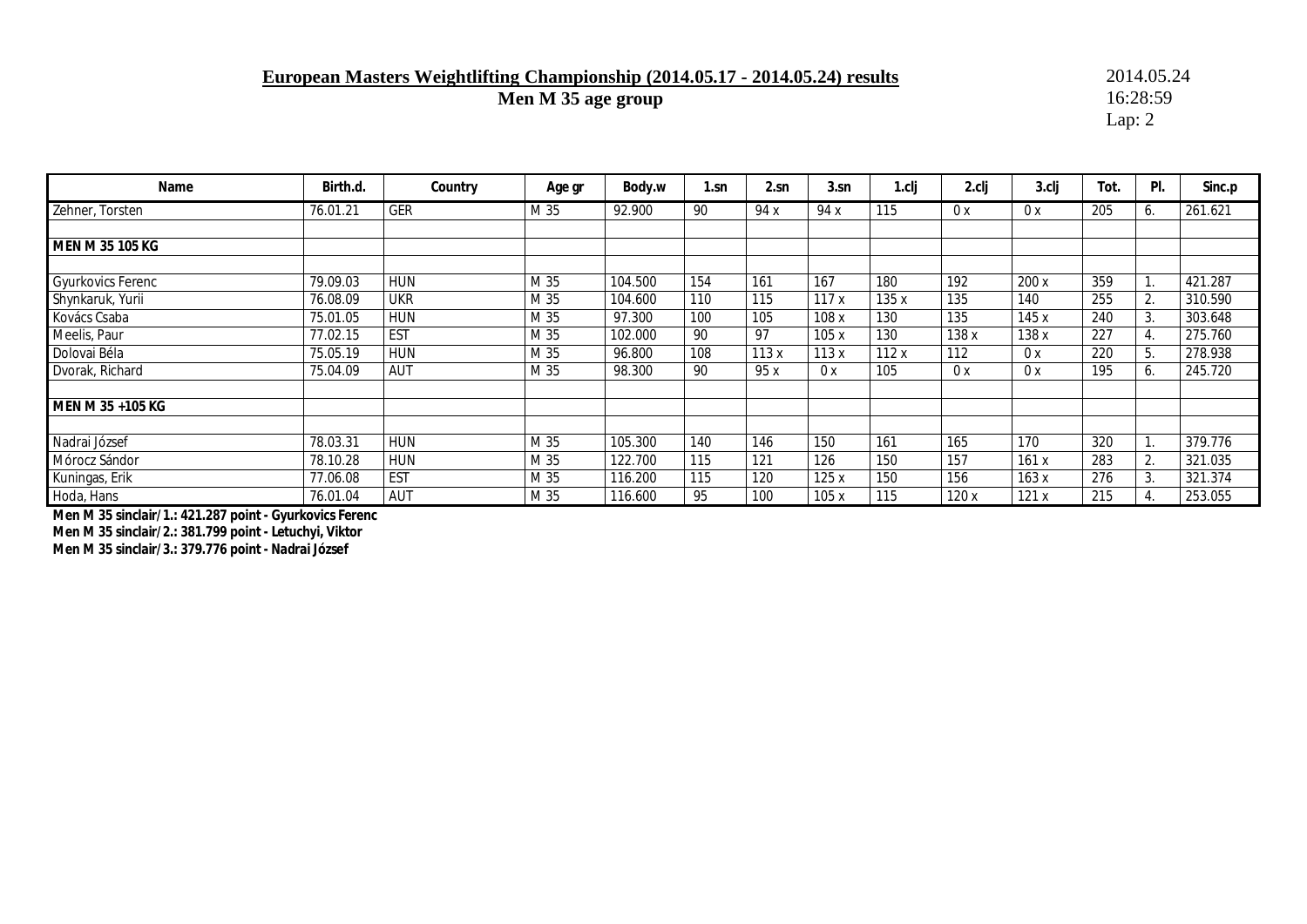### **European Masters Weightlifting Championship (2014.05.17 - 2014.05.24) results** 2014.05.24<br>Men M 35 age group 16:28:59

**Men M 35 age group** 

Lap: 2

| Name                     | Birth.d. | Country    | Age gr | Body.w  | 1.sn | 2.sn | 3.sn  | 1.clj | 2.clj | 3.clj | Tot. | PI.                        | Sinc.p  |
|--------------------------|----------|------------|--------|---------|------|------|-------|-------|-------|-------|------|----------------------------|---------|
| Zehner, Torsten          | 76.01.21 | <b>GER</b> | M 35   | 92.900  | 90   | 94 x | 94 x  | 115   | 0 x   | 0 x   | 205  | 6.                         | 261.621 |
|                          |          |            |        |         |      |      |       |       |       |       |      |                            |         |
| MEN M 35 105 KG          |          |            |        |         |      |      |       |       |       |       |      |                            |         |
|                          |          |            |        |         |      |      |       |       |       |       |      |                            |         |
| <b>Gyurkovics Ferenc</b> | 79.09.03 | <b>HUN</b> | M 35   | 104.500 | 154  | 161  | 167   | 180   | 192   | 200 x | 359  | $\blacktriangleleft$<br>Ι. | 421.287 |
| Shynkaruk, Yurii         | 76.08.09 | <b>UKR</b> | M 35   | 104.600 | 110  | 115  | 117x  | 135x  | 135   | 140   | 255  | 2.                         | 310.590 |
| Kovács Csaba             | 75.01.05 | <b>HUN</b> | M 35   | 97.300  | 100  | 105  | 108x  | 130   | 135   | 145 x | 240  | 3.                         | 303.648 |
| Meelis, Paur             | 77.02.15 | <b>EST</b> | M 35   | 102.000 | 90   | 97   | 105x  | 130   | 138 x | 138x  | 227  | $\overline{4}$ .           | 275.760 |
| Dolovai Béla             | 75.05.19 | <b>HUN</b> | M 35   | 96.800  | 108  | 113x | 113 x | 112x  | 112   | 0 x   | 220  | 5.                         | 278.938 |
| Dvorak, Richard          | 75.04.09 | <b>AUT</b> | M 35   | 98.300  | 90   | 95x  | 0x    | 105   | 0 x   | 0x    | 195  | 6.                         | 245.720 |
|                          |          |            |        |         |      |      |       |       |       |       |      |                            |         |
| MEN M 35 +105 KG         |          |            |        |         |      |      |       |       |       |       |      |                            |         |
|                          |          |            |        |         |      |      |       |       |       |       |      |                            |         |
| Nadrai József            | 78.03.31 | <b>HUN</b> | M 35   | 105.300 | 140  | 146  | 150   | 161   | 165   | 170   | 320  |                            | 379.776 |
| Mórocz Sándor            | 78.10.28 | <b>HUN</b> | M 35   | 122.700 | 115  | 121  | 126   | 150   | 157   | 161x  | 283  | 2.                         | 321.035 |
| Kuningas, Erik           | 77.06.08 | <b>EST</b> | M 35   | 116.200 | 115  | 120  | 125x  | 150   | 156   | 163x  | 276  | 3.                         | 321.374 |
| Hoda, Hans               | 76.01.04 | AUT        | M 35   | 116.600 | 95   | 100  | 105 x | 115   | 120 x | 121x  | 215  | $\overline{4}$ .           | 253.055 |

**Men M 35 sinclair/1.: 421.287 point - Gyurkovics Ferenc Men M 35 sinclair/2.: 381.799 point - Letuchyi, Viktor Men M 35 sinclair/3.: 379.776 point - Nadrai József**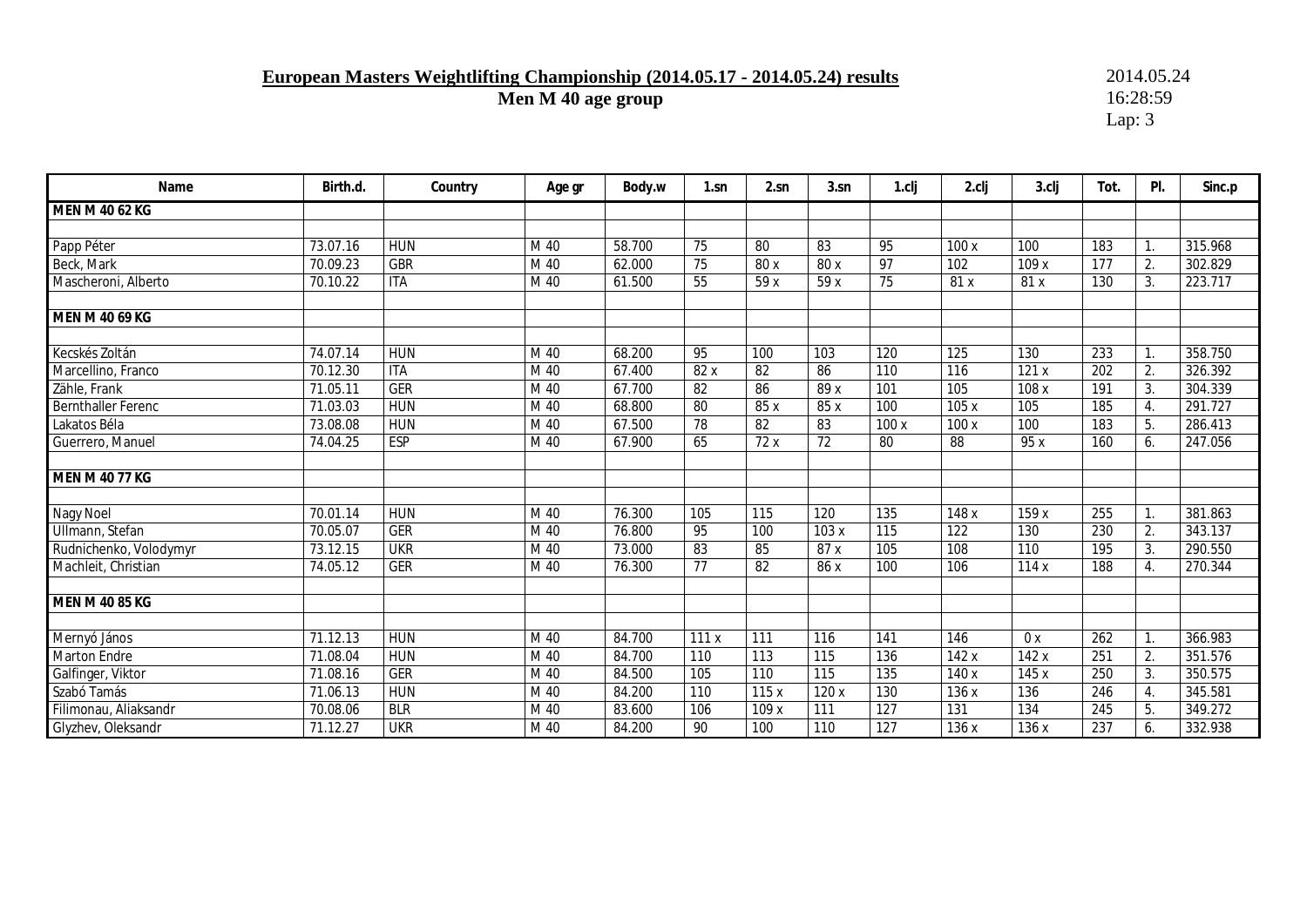## **European Masters Weightlifting Championship (2014.05.17 - 2014.05.24) results** 2014.05.24<br>Men M 40 age group 16:28:59

**Men M 40 age group** 

| Name                      | Birth.d. | Country    | Age gr | Body.w | 1.sn            | 2.sn  | 3.sn | 1.cli            | 2.clj | 3.clj | Tot. | PI. | Sinc.p  |
|---------------------------|----------|------------|--------|--------|-----------------|-------|------|------------------|-------|-------|------|-----|---------|
| MEN M 40 62 KG            |          |            |        |        |                 |       |      |                  |       |       |      |     |         |
|                           |          |            |        |        |                 |       |      |                  |       |       |      |     |         |
| Papp Péter                | 73.07.16 | <b>HUN</b> | M 40   | 58.700 | 75              | 80    | 83   | 95               | 100x  | 100   | 183  |     | 315.968 |
| Beck, Mark                | 70.09.23 | <b>GBR</b> | M 40   | 62.000 | 75              | 80 x  | 80 x | 97               | 102   | 109x  | 177  | 2.  | 302.829 |
| Mascheroni, Alberto       | 70.10.22 | <b>ITA</b> | M 40   | 61.500 | 55              | 59x   | 59x  | 75               | 81x   | 81 x  | 130  | 3.  | 223.717 |
| MEN M 40 69 KG            |          |            |        |        |                 |       |      |                  |       |       |      |     |         |
| Kecskés Zoltán            | 74.07.14 | <b>HUN</b> | M 40   | 68.200 | 95              | 100   | 103  | 120              | 125   | 130   | 233  |     | 358.750 |
| Marcellino, Franco        | 70.12.30 | <b>ITA</b> | M 40   | 67.400 | 82 x            | 82    | 86   | 110              | 116   | 121x  | 202  | 2.  | 326.392 |
| Zähle, Frank              | 71.05.11 | <b>GER</b> | M 40   | 67.700 | $\overline{82}$ | 86    | 89x  | 101              | 105   | 108 x | 191  | 3.  | 304.339 |
| <b>Bernthaller Ferenc</b> | 71.03.03 | <b>HUN</b> | M 40   | 68.800 | 80              | 85 x  | 85 x | 100              | 105x  | 105   | 185  | 4.  | 291.727 |
| Lakatos Béla              | 73.08.08 | <b>HUN</b> | M 40   | 67.500 | 78              | 82    | 83   | 100x             | 100 x | 100   | 183  | 5.  | 286.413 |
| Guerrero, Manuel          | 74.04.25 | <b>ESP</b> | M 40   | 67.900 | 65              | 72 x  | 72   | 80               | 88    | 95 x  | 160  | 6.  | 247.056 |
| <b>MEN M 40 77 KG</b>     |          |            |        |        |                 |       |      |                  |       |       |      |     |         |
| Nagy Noel                 | 70.01.14 | <b>HUN</b> | M 40   | 76.300 | 105             | 115   | 120  | 135              | 148 x | 159 x | 255  |     | 381.863 |
| Ullmann, Stefan           | 70.05.07 | <b>GER</b> | M 40   | 76.800 | 95              | 100   | 103x | $\overline{115}$ | 122   | 130   | 230  | 2.  | 343.137 |
| Rudnichenko, Volodymyr    | 73.12.15 | <b>UKR</b> | M 40   | 73.000 | 83              | 85    | 87 x | 105              | 108   | 110   | 195  | 3.  | 290.550 |
| Machleit, Christian       | 74.05.12 | <b>GER</b> | M 40   | 76.300 | 77              | 82    | 86 x | 100              | 106   | 114x  | 188  | 4.  | 270.344 |
| <b>MEN M 40 85 KG</b>     |          |            |        |        |                 |       |      |                  |       |       |      |     |         |
| Mernyó János              | 71.12.13 | <b>HUN</b> | M 40   | 84.700 | 111x            | 111   | 116  | 141              | 146   | 0x    | 262  |     | 366.983 |
| <b>Marton Endre</b>       | 71.08.04 | <b>HUN</b> | M 40   | 84.700 | 110             | 113   | 115  | 136              | 142 x | 142 x | 251  | 2.  | 351.576 |
| Galfinger, Viktor         | 71.08.16 | <b>GER</b> | M 40   | 84.500 | 105             | 110   | 115  | 135              | 140 x | 145 x | 250  | 3.  | 350.575 |
| Szabó Tamás               | 71.06.13 | <b>HUN</b> | M 40   | 84.200 | 110             | 115x  | 120x | 130              | 136 x | 136   | 246  | 4.  | 345.581 |
| Filimonau, Aliaksandr     | 70.08.06 | <b>BLR</b> | M 40   | 83.600 | 106             | 109 x | 111  | 127              | 131   | 134   | 245  | 5.  | 349.272 |
| Glyzhev, Oleksandr        | 71.12.27 | <b>UKR</b> | M 40   | 84.200 | 90              | 100   | 110  | $\overline{127}$ | 136x  | 136x  | 237  | 6.  | 332.938 |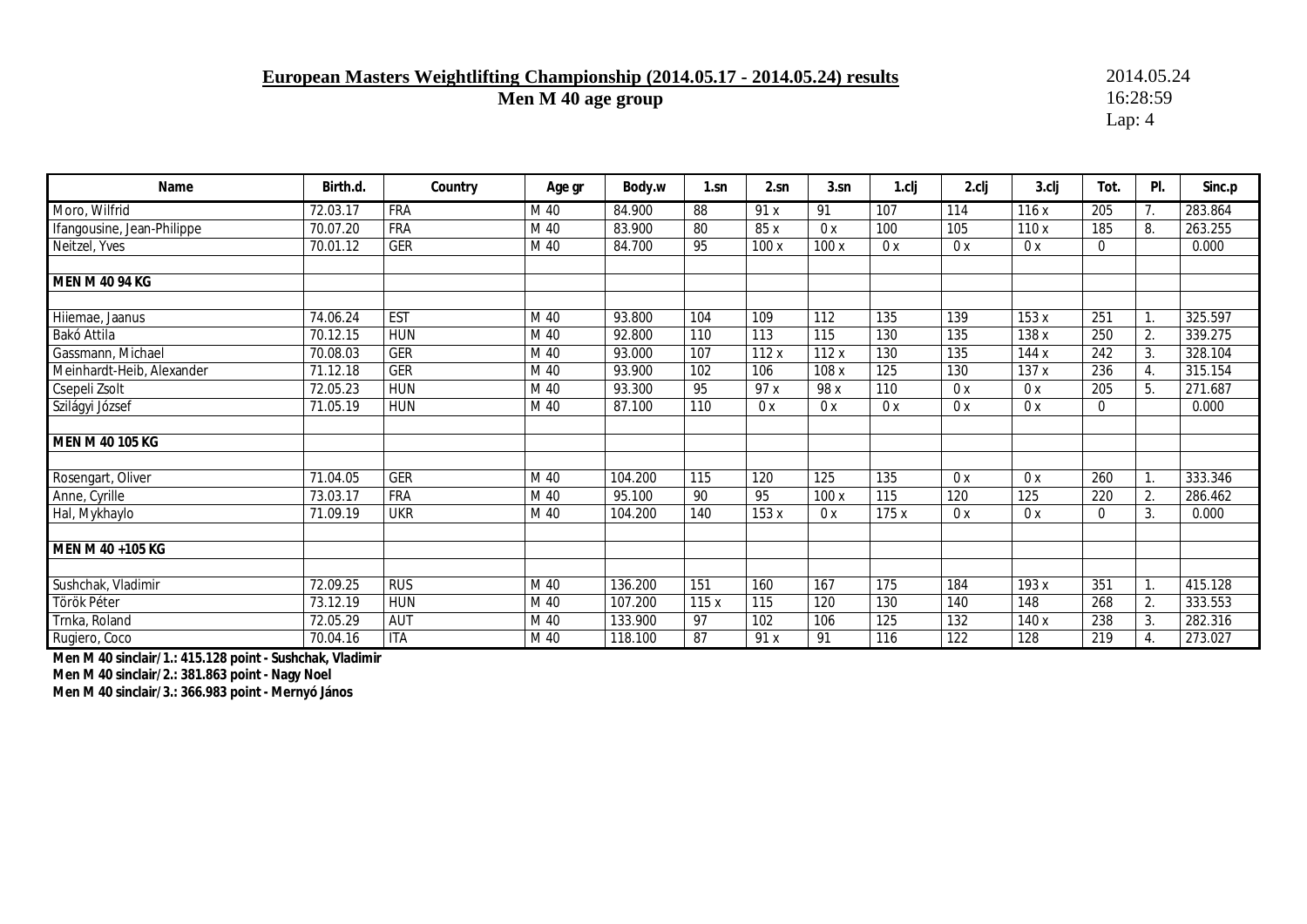### **European Masters Weightlifting Championship (2014.05.17 - 2014.05.24) results** 2014.05.24<br>Men M 40 age group 16:28:59

**Men M 40 age group** 

Lap: 4

| Name                       | Birth.d. | Country    | Age gr | Body.w  | $1 \, \text{sn}$ | 2.sn | 3.sn             | 1.cli            | 2.clj | 3.clj | Tot.         | PI.              | Sinc.p  |
|----------------------------|----------|------------|--------|---------|------------------|------|------------------|------------------|-------|-------|--------------|------------------|---------|
| Moro, Wilfrid              | 72.03.17 | <b>FRA</b> | M 40   | 84.900  | 88               | 91x  | 91               | 107              | 114   | 116x  | 205          | 7.               | 283.864 |
| Ifangousine, Jean-Philippe | 70.07.20 | <b>FRA</b> | M 40   | 83.900  | 80               | 85 x | 0x               | 100              | 105   | 110x  | 185          | 8.               | 263.255 |
| Neitzel, Yves              | 70.01.12 | <b>GER</b> | M 40   | 84.700  | 95               | 100x | 100x             | 0x               | 0x    | 0x    | $\mathbf 0$  |                  | 0.000   |
|                            |          |            |        |         |                  |      |                  |                  |       |       |              |                  |         |
| <b>MEN M 40 94 KG</b>      |          |            |        |         |                  |      |                  |                  |       |       |              |                  |         |
|                            |          | <b>EST</b> |        |         | 104              |      |                  |                  |       |       |              |                  |         |
| Hilemae, Jaanus            | 74.06.24 |            | M 40   | 93.800  |                  | 109  | 112              | 135              | 139   | 153 x | 251          | $\mathbf{1}$ .   | 325.597 |
| Bakó Attila                | 70.12.15 | <b>HUN</b> | M 40   | 92.800  | 110              | 113  | 115              | 130              | 135   | 138 x | 250          | 2.               | 339.275 |
| Gassmann, Michael          | 70.08.03 | <b>GER</b> | M 40   | 93.000  | 107              | 112x | 112x             | 130              | 135   | 144x  | 242          | 3.               | 328.104 |
| Meinhardt-Heib, Alexander  | 71.12.18 | <b>GER</b> | M 40   | 93.900  | 102              | 106  | 108 x            | 125              | 130   | 137 x | 236          | $\overline{4}$ . | 315.154 |
| Csepeli Zsolt              | 72.05.23 | <b>HUN</b> | M 40   | 93.300  | 95               | 97 x | 98 x             | $\overline{110}$ | 0x    | 0x    | 205          | 5.               | 271.687 |
| Szilágyi József            | 71.05.19 | <b>HUN</b> | M 40   | 87.100  | 110              | 0x   | 0x               | 0x               | 0x    | 0x    | $\mathbf{0}$ |                  | 0.000   |
| <b>MEN M 40 105 KG</b>     |          |            |        |         |                  |      |                  |                  |       |       |              |                  |         |
| Rosengart, Oliver          | 71.04.05 | <b>GER</b> | M 40   | 104.200 | 115              | 120  | 125              | 135              | 0x    | 0x    | 260          |                  | 333.346 |
| Anne, Cyrille              | 73.03.17 | <b>FRA</b> | M 40   | 95.100  | 90               | 95   | 100x             | 115              | 120   | 125   | 220          | 2.               | 286.462 |
| Hal, Mykhaylo              | 71.09.19 | <b>UKR</b> | M 40   | 104.200 | 140              | 153x | 0x               | 175 x            | 0x    | 0x    | $\mathbf{0}$ | 3.               | 0.000   |
| MEN M 40 +105 KG           |          |            |        |         |                  |      |                  |                  |       |       |              |                  |         |
|                            |          |            |        |         |                  |      |                  |                  |       |       |              |                  |         |
| Sushchak, Vladimir         | 72.09.25 | RUS        | M 40   | 136.200 | 151              | 160  | $\overline{167}$ | $\overline{175}$ | 184   | 193 x | 351          |                  | 415.128 |
| Török Péter                | 73.12.19 | <b>HUN</b> | M 40   | 107.200 | 115x             | 115  | 120              | 130              | 140   | 148   | 268          | 2.               | 333.553 |
| Trnka, Roland              | 72.05.29 | AUT        | M 40   | 133.900 | 97               | 102  | 106              | 125              | 132   | 140 x | 238          | 3.               | 282.316 |
| Rugiero, Coco              | 70.04.16 | <b>ITA</b> | M 40   | 118.100 | 87               | 91 x | 91               | 116              | 122   | 128   | 219          | 4.               | 273.027 |

**Men M 40 sinclair/1.: 415.128 point - Sushchak, Vladimir** 

**Men M 40 sinclair/2.: 381.863 point - Nagy Noel** 

**Men M 40 sinclair/3.: 366.983 point - Mernyó János**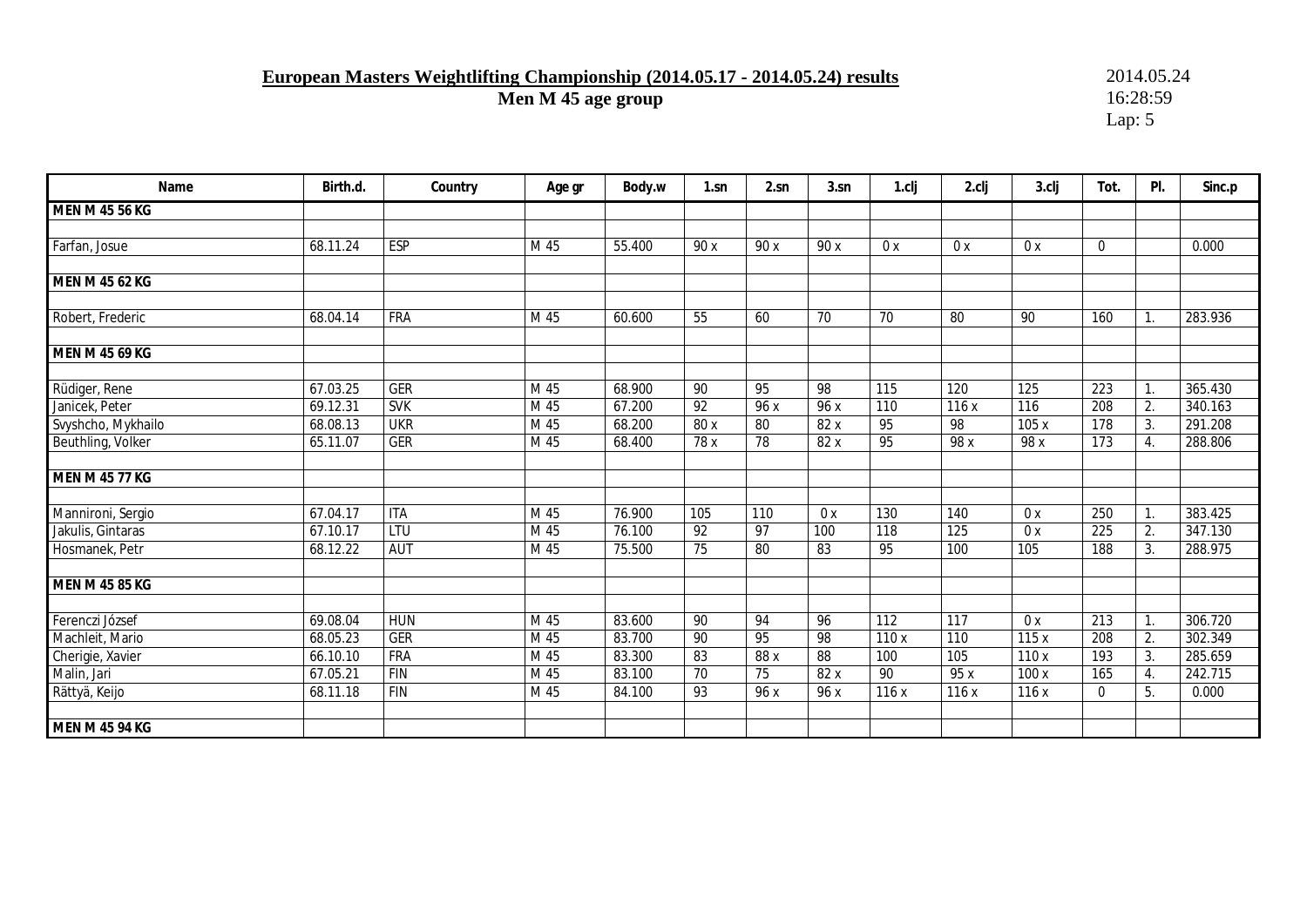# **European Masters Weightlifting Championship (2014.05.17 - 2014.05.24) results** 2014.05.24<br>Men M 45 age group 16:28:59

**Men M 45 age group** 

| Name                  | Birth.d. | Country    | Age gr | Body.w | 1.sn            | 2.sn            | 3.sn            | 1.clj            | 2.clj            | 3.clj | Tot.             | PI.            | Sinc.p  |
|-----------------------|----------|------------|--------|--------|-----------------|-----------------|-----------------|------------------|------------------|-------|------------------|----------------|---------|
| MEN M 45 56 KG        |          |            |        |        |                 |                 |                 |                  |                  |       |                  |                |         |
|                       |          |            |        |        |                 |                 |                 |                  |                  |       |                  |                |         |
| Farfan, Josue         | 68.11.24 | ESP        | M 45   | 55.400 | 90 x            | 90 x            | 90 x            | 0x               | 0x               | 0x    | $\mathbf 0$      |                | 0.000   |
| <b>MEN M 45 62 KG</b> |          |            |        |        |                 |                 |                 |                  |                  |       |                  |                |         |
|                       |          |            |        |        |                 |                 |                 |                  |                  |       |                  |                |         |
| Robert, Frederic      | 68.04.14 | <b>FRA</b> | M 45   | 60.600 | 55              | 60              | 70              | 70               | 80               | 90    | 160              | $\mathbf{1}$ . | 283.936 |
| <b>MEN M 45 69 KG</b> |          |            |        |        |                 |                 |                 |                  |                  |       |                  |                |         |
| Rüdiger, Rene         | 67.03.25 | <b>GER</b> | M 45   | 68.900 | 90              | 95              | 98              | 115              | 120              | 125   | 223              | $\mathbf{1}$ . | 365.430 |
| Janicek, Peter        | 69.12.31 | <b>SVK</b> | M 45   | 67.200 | $\overline{92}$ | 96x             | 96x             | 110              | 116x             | 116   | 208              | 2.             | 340.163 |
| Svyshcho, Mykhailo    | 68.08.13 | <b>UKR</b> | M 45   | 68.200 | 80x             | $\overline{80}$ | 82x             | 95               | 98               | 105 x | $\overline{178}$ | 3.             | 291.208 |
| Beuthling, Volker     | 65.11.07 | <b>GER</b> | M 45   | 68.400 | 78 x            | 78              | 82 x            | 95               | 98 x             | 98 x  | 173              | 4.             | 288.806 |
| <b>MEN M 45 77 KG</b> |          |            |        |        |                 |                 |                 |                  |                  |       |                  |                |         |
|                       |          |            |        |        |                 |                 |                 |                  |                  |       |                  |                |         |
| Mannironi, Sergio     | 67.04.17 | <b>ITA</b> | M 45   | 76.900 | 105             | 110             | 0x              | 130              | 140              | 0x    | 250              | $\mathbf{1}$ . | 383.425 |
| Jakulis, Gintaras     | 67.10.17 | <b>LTU</b> | M 45   | 76.100 | $\overline{92}$ | 97              | 100             | $\overline{118}$ | $\overline{125}$ | 0x    | $\overline{225}$ | 2.             | 347.130 |
| Hosmanek, Petr        | 68.12.22 | <b>AUT</b> | M 45   | 75.500 | 75              | 80              | $\overline{83}$ | 95               | 100              | 105   | 188              | 3.             | 288.975 |
| <b>MEN M 45 85 KG</b> |          |            |        |        |                 |                 |                 |                  |                  |       |                  |                |         |
| Ferenczi József       | 69.08.04 | <b>HUN</b> | M 45   | 83.600 | 90              | 94              | 96              | $\overline{112}$ | 117              | 0x    | $\overline{213}$ | $\mathbf{1}$ . | 306.720 |
| Machleit, Mario       | 68.05.23 | <b>GER</b> | M 45   | 83.700 | 90              | 95              | 98              | 110 x            | 110              | 115x  | 208              | 2.             | 302.349 |
| Cherigie, Xavier      | 66.10.10 | <b>FRA</b> | M 45   | 83.300 | 83              | 88 x            | 88              | 100              | 105              | 110x  | 193              | 3.             | 285.659 |
| Malin, Jari           | 67.05.21 | <b>FIN</b> | M 45   | 83.100 | 70              | 75              | 82x             | 90               | 95 x             | 100x  | 165              | 4.             | 242.715 |
| Rättyä, Keijo         | 68.11.18 | <b>FIN</b> | M 45   | 84.100 | 93              | 96x             | 96 x            | 116x             | 116x             | 116x  | $\mathbf 0$      | 5.             | 0.000   |
| <b>MEN M 45 94 KG</b> |          |            |        |        |                 |                 |                 |                  |                  |       |                  |                |         |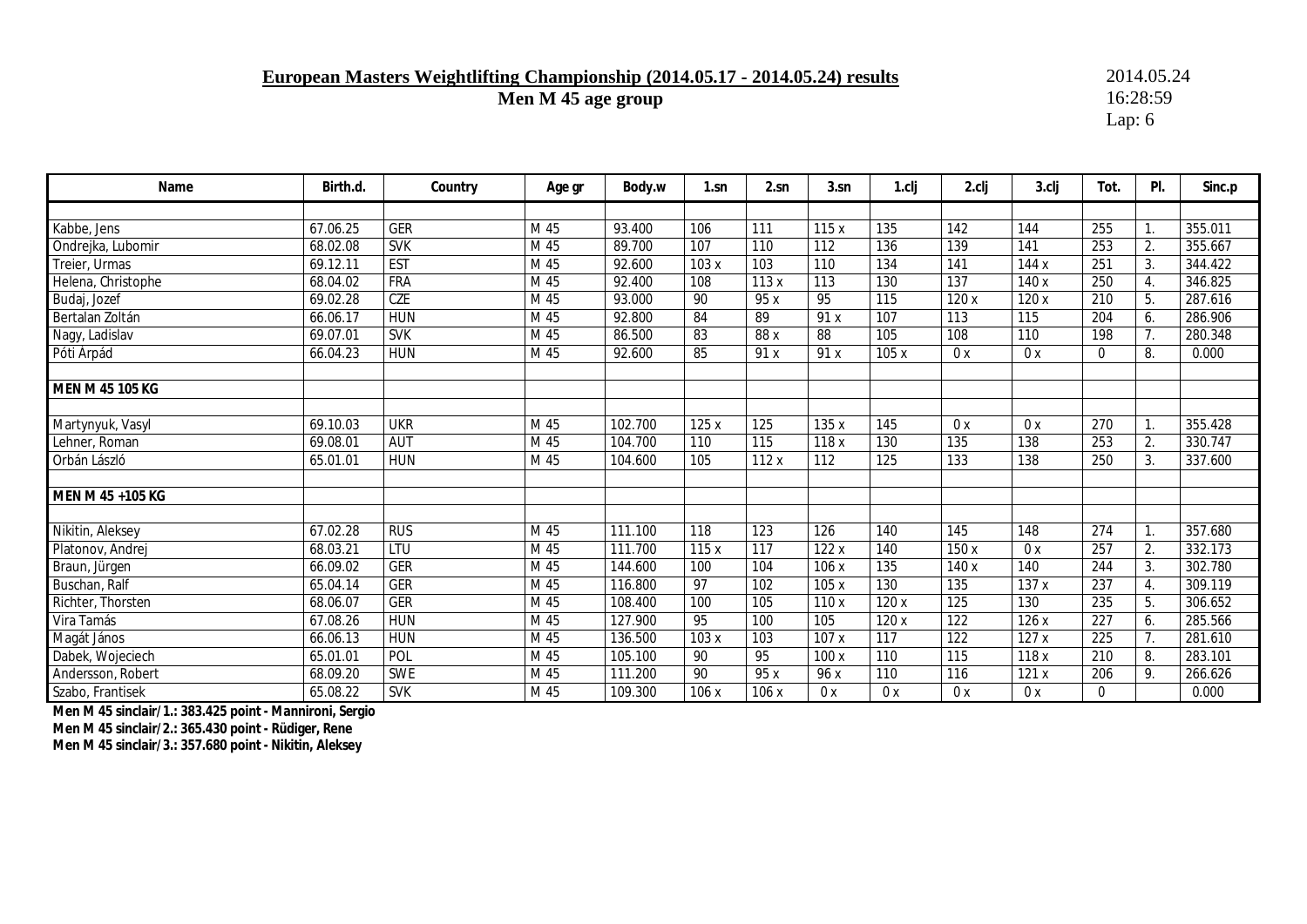### **European Masters Weightlifting Championship (2014.05.17 - 2014.05.24) results** 2014.05.24<br>Men M 45 age group 16:28:59

**Men M 45 age group** 

Lap: 6

| Name               | Birth.d. | Country    | Age gr | Body.w  | 1.sn            | 2.sn  | 3.sn             | 1.cli             | 2.clj            | 3.clj | Tot.             | PI. | Sinc.p  |
|--------------------|----------|------------|--------|---------|-----------------|-------|------------------|-------------------|------------------|-------|------------------|-----|---------|
|                    |          |            |        |         |                 |       |                  |                   |                  |       |                  |     |         |
| Kabbe, Jens        | 67.06.25 | <b>GER</b> | M 45   | 93.400  | 106             | 111   | 115x             | 135               | 142              | 144   | 255              |     | 355.011 |
| Ondrejka, Lubomir  | 68.02.08 | <b>SVK</b> | M 45   | 89.700  | 107             | 110   | 112              | 136               | 139              | 141   | 253              | 2.  | 355.667 |
| Treier, Urmas      | 69.12.11 | <b>EST</b> | M 45   | 92.600  | 103 x           | 103   | 110              | 134               | 141              | 144 x | 251              | 3.  | 344.422 |
| Helena, Christophe | 68.04.02 | <b>FRA</b> | M 45   | 92.400  | 108             | 113x  | $\overline{113}$ | 130               | 137              | 140 x | 250              | 4.  | 346.825 |
| Budaj, Jozef       | 69.02.28 | <b>CZE</b> | M 45   | 93.000  | 90              | 95x   | 95               | $\overline{115}$  | 120x             | 120x  | $\overline{210}$ | 5.  | 287.616 |
| Bertalan Zoltán    | 66.06.17 | <b>HUN</b> | M 45   | 92.800  | 84              | 89    | 91 x             | 107               | 113              | 115   | 204              | 6.  | 286.906 |
| Nagy, Ladislav     | 69.07.01 | <b>SVK</b> | M 45   | 86.500  | 83              | 88x   | $\overline{88}$  | 105               | 108              | 110   | 198              | 7.  | 280.348 |
| Póti Árpád         | 66.04.23 | <b>HUN</b> | M 45   | 92.600  | 85              | 91 x  | 91 x             | 105x              | 0x               | 0x    | $\mathbf 0$      | 8.  | 0.000   |
|                    |          |            |        |         |                 |       |                  |                   |                  |       |                  |     |         |
| MEN M 45 105 KG    |          |            |        |         |                 |       |                  |                   |                  |       |                  |     |         |
|                    |          |            |        |         |                 |       |                  |                   |                  |       |                  |     |         |
| Martynyuk, Vasyl   | 69.10.03 | <b>UKR</b> | M 45   | 102.700 | 125 x           | 125   | 135 x            | 145               | 0x               | 0x    | 270              |     | 355.428 |
| Lehner, Roman      | 69.08.01 | <b>AUT</b> | M 45   | 104.700 | 110             | 115   | 118 x            | 130               | 135              | 138   | 253              | 2.  | 330.747 |
| Orbán László       | 65.01.01 | <b>HUN</b> | M 45   | 104.600 | 105             | 112x  | 112              | 125               | 133              | 138   | 250              | 3.  | 337.600 |
|                    |          |            |        |         |                 |       |                  |                   |                  |       |                  |     |         |
| MEN M 45 +105 KG   |          |            |        |         |                 |       |                  |                   |                  |       |                  |     |         |
|                    |          |            |        |         |                 |       |                  |                   |                  |       |                  |     |         |
| Nikitin, Aleksey   | 67.02.28 | <b>RUS</b> | M 45   | 111.100 | 118             | 123   | 126              | 140               | 145              | 148   | 274              |     | 357.680 |
| Platonov, Andrej   | 68.03.21 | LTU        | M 45   | 111.700 | 115x            | 117   | 122x             | 140               | 150 x            | 0x    | 257              | 2.  | 332.173 |
| Braun, Jürgen      | 66.09.02 | <b>GER</b> | M 45   | 144.600 | 100             | 104   | 106 x            | 135               | 140 x            | 140   | 244              | 3.  | 302.780 |
| Buschan, Ralf      | 65.04.14 | <b>GER</b> | M 45   | 116.800 | $\overline{97}$ | 102   | 105x             | $\overline{130}$  | 135              | 137x  | 237              | 4.  | 309.119 |
| Richter, Thorsten  | 68.06.07 | <b>GER</b> | M 45   | 108.400 | 100             | 105   | 110x             | 120x              | $\overline{125}$ | 130   | 235              | 5.  | 306.652 |
| Vira Tamás         | 67.08.26 | <b>HUN</b> | M 45   | 127.900 | 95              | 100   | 105              | $\overline{120x}$ | $\overline{122}$ | 126x  | 227              | 6.  | 285.566 |
| Magát János        | 66.06.13 | <b>HUN</b> | M 45   | 136.500 | 103 x           | 103   | 107x             | $\overline{117}$  | 122              | 127x  | 225              | 7.  | 281.610 |
| Dabek, Wojeciech   | 65.01.01 | POL        | M 45   | 105.100 | 90              | 95    | 100x             | 110               | 115              | 118x  | 210              | 8.  | 283.101 |
| Andersson, Robert  | 68.09.20 | <b>SWE</b> | M 45   | 111.200 | 90              | 95x   | 96 x             | 110               | 116              | 121x  | 206              | 9.  | 266.626 |
| Szabo, Frantisek   | 65.08.22 | <b>SVK</b> | M 45   | 109.300 | 106 x           | 106 x | 0x               | 0x                | 0x               | 0x    | $\Omega$         |     | 0.000   |

**Men M 45 sinclair/1.: 383.425 point - Mannironi, Sergio Men M 45 sinclair/2.: 365.430 point - Rüdiger, Rene Men M 45 sinclair/3.: 357.680 point - Nikitin, Aleksey**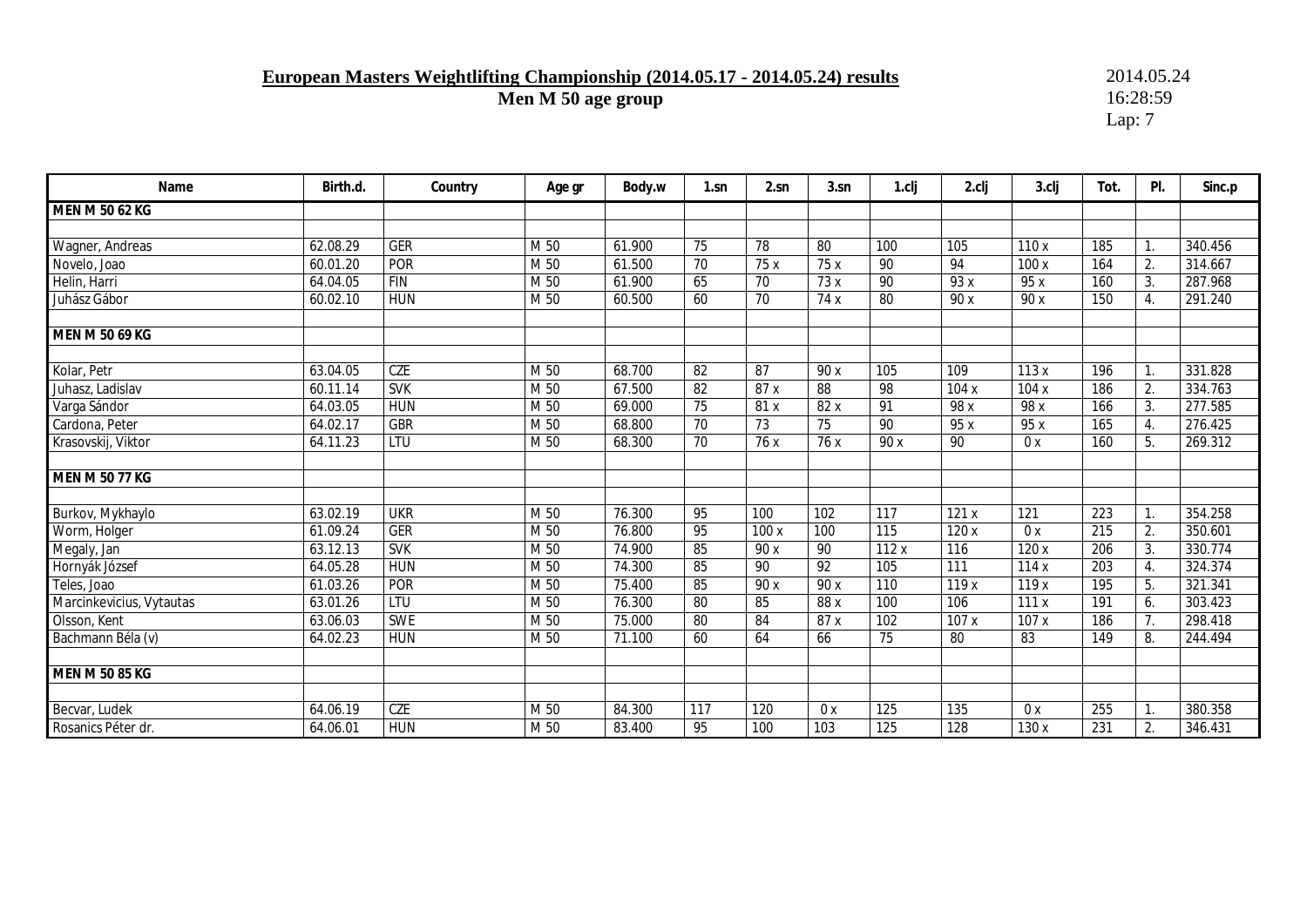# **European Masters Weightlifting Championship (2014.05.17 - 2014.05.24) results** 2014.05.24<br>Men M 50 age group 16:28:59

**Men M 50 age group** 

| Name                     | Birth.d. | Country    | Age gr | Body.w | $1$ .sn         | 2.sn            | 3.sn             | 1.cli           | 2.clj            | $3$ .clj | Tot. | PI. | Sinc.p  |
|--------------------------|----------|------------|--------|--------|-----------------|-----------------|------------------|-----------------|------------------|----------|------|-----|---------|
| MEN M 50 62 KG           |          |            |        |        |                 |                 |                  |                 |                  |          |      |     |         |
|                          |          |            |        |        |                 |                 |                  |                 |                  |          |      |     |         |
| Wagner, Andreas          | 62.08.29 | <b>GER</b> | M 50   | 61.900 | 75              | 78              | 80               | 100             | 105              | 110x     | 185  | 1.  | 340.456 |
| Novelo, Joao             | 60.01.20 | POR        | M 50   | 61.500 | 70              | 75 x            | 75 x             | 90              | 94               | 100x     | 164  | 2.  | 314.667 |
| Helin, Harri             | 64.04.05 | <b>FIN</b> | M 50   | 61.900 | 65              | 70              | 73 x             | 90              | 93 x             | 95 x     | 160  | 3.  | 287.968 |
| Juhász Gábor             | 60.02.10 | <b>HUN</b> | M 50   | 60.500 | 60              | 70              | 74 x             | 80              | 90 x             | 90 x     | 150  | 4.  | 291.240 |
| <b>MEN M 50 69 KG</b>    |          |            |        |        |                 |                 |                  |                 |                  |          |      |     |         |
|                          |          |            |        |        |                 |                 |                  |                 |                  |          |      |     |         |
| Kolar, Petr              | 63.04.05 | <b>CZE</b> | M 50   | 68.700 | 82              | 87              | 90 x             | 105             | 109              | 113x     | 196  | 1.  | 331.828 |
| Juhasz, Ladislav         | 60.11.14 | <b>SVK</b> | M 50   | 67.500 | $\overline{82}$ | 87x             | $\overline{88}$  | 98              | 104x             | 104x     | 186  | 2.  | 334.763 |
| Varga Sándor             | 64.03.05 | <b>HUN</b> | M 50   | 69.000 | 75              | 81 x            | 82 x             | 91              | 98 x             | 98 x     | 166  | 3.  | 277.585 |
| Cardona, Peter           | 64.02.17 | <b>GBR</b> | M 50   | 68.800 | $\overline{70}$ | 73              | $\overline{75}$  | 90              | 95x              | 95 x     | 165  | 4.  | 276.425 |
| Krasovskij, Viktor       | 64.11.23 | LTU        | M 50   | 68.300 | 70              | 76 x            | 76 x             | 90 x            | 90               | 0x       | 160  | 5.  | 269.312 |
| <b>MEN M 50 77 KG</b>    |          |            |        |        |                 |                 |                  |                 |                  |          |      |     |         |
| Burkov, Mykhaylo         | 63.02.19 | <b>UKR</b> | M 50   | 76.300 | 95              | 100             | 102              | 117             | 121x             | 121      | 223  | 1.  | 354.258 |
| Worm, Holger             | 61.09.24 | <b>GER</b> | M 50   | 76.800 | 95              | 100x            | 100              | 115             | 120 x            | 0x       | 215  | 2.  | 350.601 |
| Megaly, Jan              | 63.12.13 | <b>SVK</b> | M 50   | 74.900 | 85              | 90 x            | 90               | 112x            | 116              | 120x     | 206  | 3.  | 330.774 |
| Hornyák József           | 64.05.28 | <b>HUN</b> | M 50   | 74.300 | 85              | 90              | 92               | 105             | 111              | 114x     | 203  | 4.  | 324.374 |
| Teles, Joao              | 61.03.26 | <b>POR</b> | M 50   | 75.400 | 85              | 90 x            | $\overline{90x}$ | 110             | 119 x            | 119x     | 195  | 5.  | 321.341 |
| Marcinkevicius, Vytautas | 63.01.26 | LTU        | M 50   | 76.300 | 80              | 85              | 88x              | 100             | 106              | 111x     | 191  | 6.  | 303.423 |
| Olsson, Kent             | 63.06.03 | <b>SWE</b> | M 50   | 75.000 | $\overline{80}$ | $\overline{84}$ | 87 x             | 102             | 107x             | 107x     | 186  | 7.  | 298.418 |
| Bachmann Béla (v)        | 64.02.23 | <b>HUN</b> | M 50   | 71.100 | 60              | 64              | 66               | $\overline{75}$ | 80               | 83       | 149  | 8.  | 244.494 |
| MEN M 50 85 KG           |          |            |        |        |                 |                 |                  |                 |                  |          |      |     |         |
|                          |          |            |        |        |                 |                 |                  |                 |                  |          |      |     |         |
| Becvar, Ludek            | 64.06.19 | CZE        | M 50   | 84.300 | 117             | 120             | 0 x              | 125             | 135              | 0x       | 255  |     | 380.358 |
| Rosanics Péter dr.       | 64.06.01 | <b>HUN</b> | M 50   | 83.400 | 95              | 100             | 103              | 125             | $\overline{128}$ | 130x     | 231  | 2.  | 346.431 |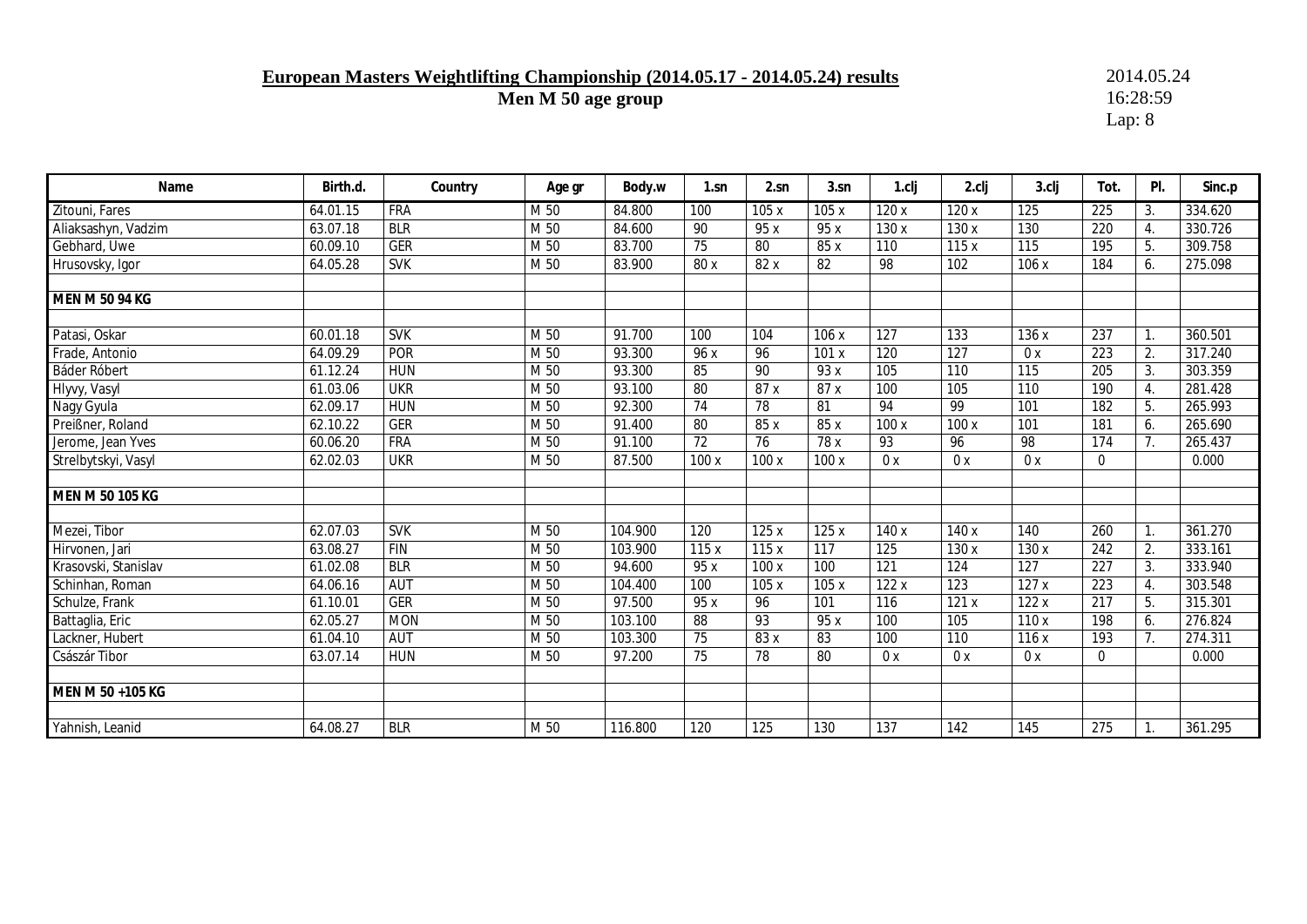## **European Masters Weightlifting Championship (2014.05.17 - 2014.05.24) results** 2014.05.24<br>Men M 50 age group 16:28:59

**Men M 50 age group** 

| Name                   | Birth.d. | Country    | Age gr | Body.w  | 1.sn            | 2.sn            | 3.sn             | 1.cli             | 2.clj             | 3.clj | Tot.             | PI.              | Sinc.p  |
|------------------------|----------|------------|--------|---------|-----------------|-----------------|------------------|-------------------|-------------------|-------|------------------|------------------|---------|
| Zitouni, Fares         | 64.01.15 | <b>FRA</b> | M 50   | 84.800  | 100             | 105 x           | 105 x            | 120x              | 120x              | 125   | 225              | 3.               | 334.620 |
| Aliaksashyn, Vadzim    | 63.07.18 | <b>BLR</b> | M 50   | 84.600  | 90              | 95 x            | 95 x             | 130 x             | 130 x             | 130   | 220              | 4.               | 330.726 |
| Gebhard, Uwe           | 60.09.10 | <b>GER</b> | M 50   | 83.700  | $\overline{75}$ | $\overline{80}$ | 85 x             | 110               | 115x              | 115   | 195              | 5.               | 309.758 |
| Hrusovsky, Igor        | 64.05.28 | <b>SVK</b> | M 50   | 83.900  | 80 x            | 82 x            | 82               | 98                | 102               | 106 x | 184              | 6.               | 275.098 |
|                        |          |            |        |         |                 |                 |                  |                   |                   |       |                  |                  |         |
| <b>MEN M 50 94 KG</b>  |          |            |        |         |                 |                 |                  |                   |                   |       |                  |                  |         |
|                        |          |            |        |         |                 |                 |                  |                   |                   |       |                  |                  |         |
| Patasi, Oskar          | 60.01.18 | <b>SVK</b> | M 50   | 91.700  | 100             | 104             | 106x             | 127               | 133               | 136 x | 237              |                  | 360.501 |
| Frade, Antonio         | 64.09.29 | <b>POR</b> | M 50   | 93.300  | 96x             | 96              | 101x             | 120               | $\overline{127}$  | 0x    | $\overline{223}$ | 2.               | 317.240 |
| Báder Róbert           | 61.12.24 | <b>HUN</b> | M 50   | 93.300  | 85              | 90              | 93 x             | 105               | 110               | 115   | 205              | 3.               | 303.359 |
| Hlyvy, Vasyl           | 61.03.06 | <b>UKR</b> | M 50   | 93.100  | $\overline{80}$ | 87x             | 87x              | 100               | 105               | 110   | 190              | $\overline{4}$ . | 281.428 |
| Nagy Gyula             | 62.09.17 | <b>HUN</b> | M 50   | 92.300  | $\overline{74}$ | $\overline{78}$ | 81               | 94                | 99                | 101   | 182              | 5.               | 265.993 |
| Preißner, Roland       | 62.10.22 | <b>GER</b> | M 50   | 91.400  | $\overline{80}$ | 85x             | 85x              | 100x              | 100x              | 101   | 181              | 6.               | 265.690 |
| Jerome, Jean Yves      | 60.06.20 | <b>FRA</b> | M 50   | 91.100  | 72              | 76              | 78x              | 93                | 96                | 98    | 174              | 7.               | 265.437 |
| Strelbytskyi, Vasyl    | 62.02.03 | <b>UKR</b> | M 50   | 87.500  | 100 x           | 100 x           | 100x             | 0x                | 0x                | 0x    | $\mathbf 0$      |                  | 0.000   |
|                        |          |            |        |         |                 |                 |                  |                   |                   |       |                  |                  |         |
| <b>MEN M 50 105 KG</b> |          |            |        |         |                 |                 |                  |                   |                   |       |                  |                  |         |
|                        |          |            |        |         |                 |                 |                  |                   |                   |       |                  |                  |         |
| Mezei, Tibor           | 62.07.03 | <b>SVK</b> | M 50   | 104.900 | 120             | 125x            | 125x             | 140 x             | 140 x             | 140   | 260              |                  | 361.270 |
| Hirvonen, Jari         | 63.08.27 | <b>FIN</b> | M 50   | 103.900 | 115x            | 115x            | $\overline{117}$ | 125               | 130 x             | 130 x | 242              | 2.               | 333.161 |
| Krasovski, Stanislav   | 61.02.08 | <b>BLR</b> | M 50   | 94.600  | 95 x            | 100 x           | 100              | 121               | 124               | 127   | 227              | 3.               | 333.940 |
| Schinhan, Roman        | 64.06.16 | <b>AUT</b> | M 50   | 104.400 | 100             | 105 x           | 105x             | $\overline{122x}$ | $\overline{123}$  | 127x  | 223              | 4.               | 303.548 |
| Schulze, Frank         | 61.10.01 | <b>GER</b> | M 50   | 97.500  | 95x             | 96              | 101              | 116               | $\overline{121x}$ | 122x  | 217              | 5.               | 315.301 |
| Battaglia, Eric        | 62.05.27 | <b>MON</b> | M 50   | 103.100 | 88              | 93              | 95 x             | 100               | 105               | 110 x | 198              | 6.               | 276.824 |
| Lackner, Hubert        | 61.04.10 | <b>AUT</b> | M 50   | 103.300 | $\overline{75}$ | 83x             | 83               | 100               | 110               | 116x  | 193              | 7 <sub>1</sub>   | 274.311 |
| Császár Tibor          | 63.07.14 | <b>HUN</b> | M 50   | 97.200  | 75              | 78              | 80               | 0x                | 0x                | 0x    | $\mathbf{0}$     |                  | 0.000   |
| MEN M 50 +105 KG       |          |            |        |         |                 |                 |                  |                   |                   |       |                  |                  |         |
| Yahnish, Leanid        | 64.08.27 | <b>BLR</b> | M 50   | 116.800 | 120             | 125             | 130              | 137               | 142               | 145   | 275              |                  | 361.295 |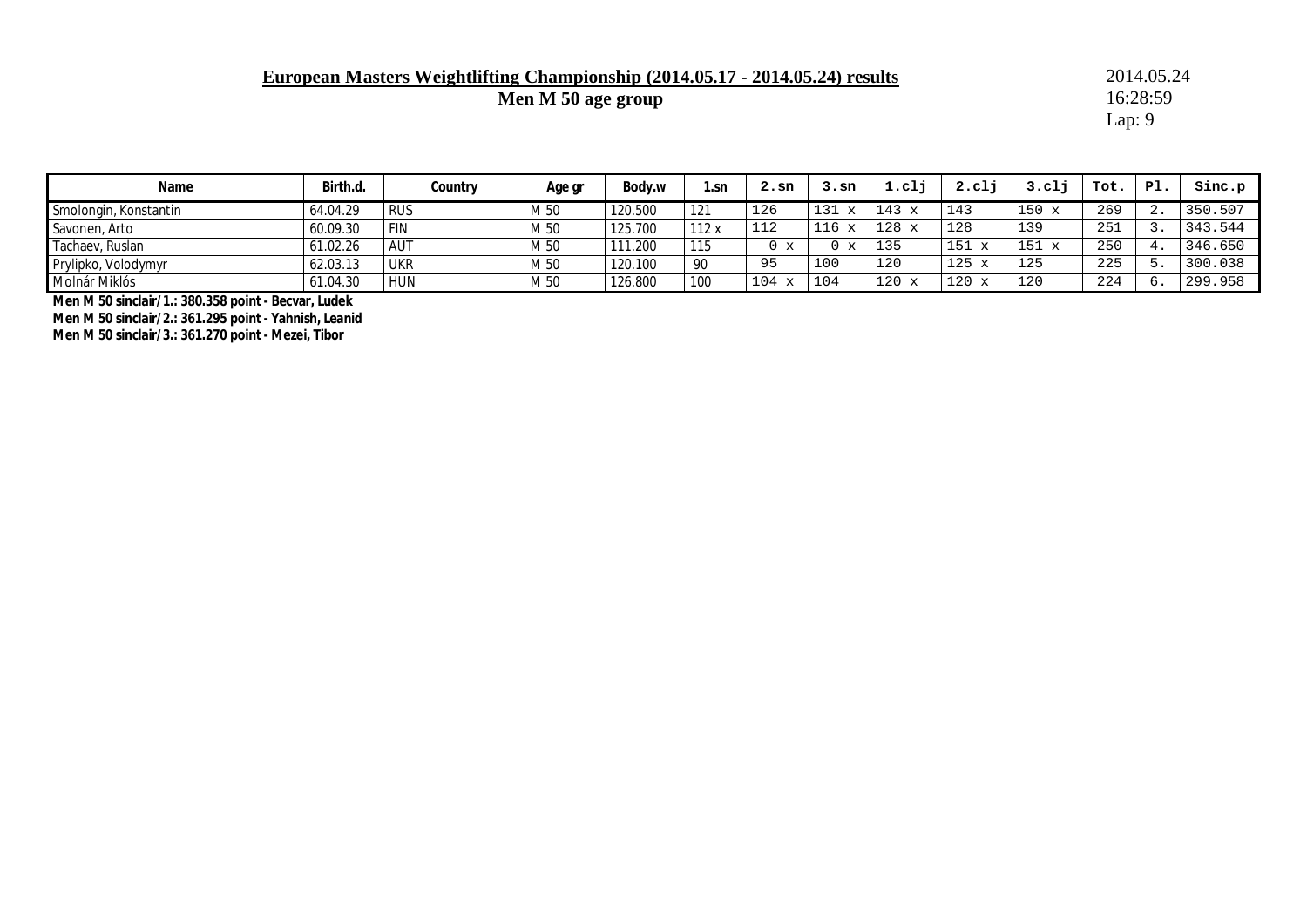**European Masters Weightlifting Championship (2014.05.17 - 2014.05.24) results** 2014.05.24<br>Men M 50 age group 16:28:59

**Men M 50 age group** 

Lap: 9

| Name                  | Birth.d. | Country    | Age gr | Body.w  | 1.sn | 2.sn                | 3.sn                | 1.c1         | $2. c1$ j           | $3. c1$ <sup><math>+</math></sup> | Tot. | Pl.  | Sinc.p  |
|-----------------------|----------|------------|--------|---------|------|---------------------|---------------------|--------------|---------------------|-----------------------------------|------|------|---------|
| Smolongin, Konstantin | 64.04.29 | <b>RUS</b> | M 50   | 120.500 | 121  | 126                 | 131<br>$\mathbf{v}$ | $143 \times$ | 143                 | 150<br>$\mathbf{x}$               | 269  | . ته | 350.507 |
| Savonen, Arto         | 60.09.30 | <b>FIN</b> | M 50   | 125.700 | 112x | 112                 | $\mathbf{v}$<br>116 | $128 \times$ | 128                 | 139                               | 251  |      | 343.544 |
| Tachaev, Ruslan       | 61.02.26 | AUT        | M 50   | 111.200 | 115  | $\mathbf{x}$        | 0 x                 | 135          | 151<br>$\mathbf{v}$ | 151<br>$\mathbf{x}$               | 250  |      | 346.650 |
| Prylipko, Volodymyr   | 62.03.13 | UKR        | M 50   | 120.100 | -90  | 95                  | 100                 | 120          | 125<br>$\mathbf{v}$ | 125                               | 225  |      | 300.038 |
| Molnár Miklós         | 61.04.30 | HUN        | M 50   | 126.800 | 100  | 104<br>$\mathbf{v}$ | 104                 | 120          | 120<br>$\mathbf{v}$ | 120                               | 224  | O    | 299.958 |

**Men M 50 sinclair/1.: 380.358 point - Becvar, Ludek** 

**Men M 50 sinclair/2.: 361.295 point - Yahnish, Leanid** 

**Men M 50 sinclair/3.: 361.270 point - Mezei, Tibor**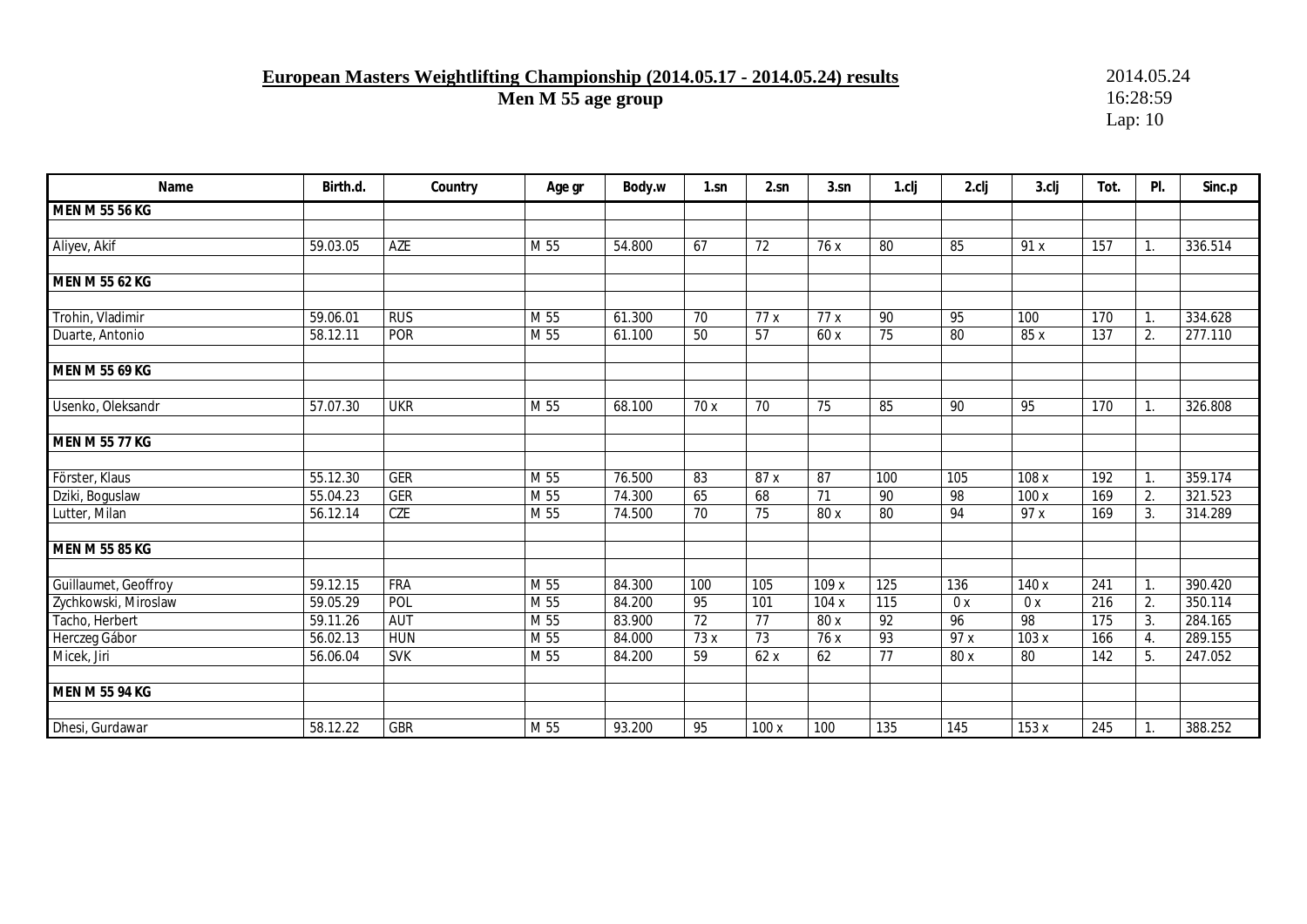## **European Masters Weightlifting Championship (2014.05.17 - 2014.05.24) results** 2014.05.24<br>Men M 55 age group 16:28:59

**Men M 55 age group** 

| Name                  | Birth.d. | Country    | Age gr          | Body.w | $1$ .sn         | 2.sn            | 3.sn  | 1.clj           | 2.clj | 3.clj | Tot. | PI. | Sinc.p  |
|-----------------------|----------|------------|-----------------|--------|-----------------|-----------------|-------|-----------------|-------|-------|------|-----|---------|
| MEN M 55 56 KG        |          |            |                 |        |                 |                 |       |                 |       |       |      |     |         |
|                       |          |            |                 |        |                 |                 |       |                 |       |       |      |     |         |
| Aliyev, Akif          | 59.03.05 | AZE        | M 55            | 54.800 | 67              | 72              | 76 x  | 80              | 85    | 91x   | 157  | 1.  | 336.514 |
|                       |          |            |                 |        |                 |                 |       |                 |       |       |      |     |         |
| <b>MEN M 55 62 KG</b> |          |            |                 |        |                 |                 |       |                 |       |       |      |     |         |
|                       |          |            |                 |        |                 |                 |       |                 |       |       |      |     |         |
| Trohin, Vladimir      | 59.06.01 | <b>RUS</b> | M <sub>55</sub> | 61.300 | $\overline{70}$ | 77x             | 77x   | 90              | 95    | 100   | 170  | 1.  | 334.628 |
| Duarte, Antonio       | 58.12.11 | <b>POR</b> | M <sub>55</sub> | 61.100 | 50              | $\overline{57}$ | 60 x  | $\overline{75}$ | 80    | 85 x  | 137  | 2.  | 277.110 |
|                       |          |            |                 |        |                 |                 |       |                 |       |       |      |     |         |
| <b>MEN M 55 69 KG</b> |          |            |                 |        |                 |                 |       |                 |       |       |      |     |         |
| Usenko, Oleksandr     | 57.07.30 | <b>UKR</b> | M <sub>55</sub> | 68.100 | 70 x            | $\overline{70}$ | 75    | 85              | 90    | 95    | 170  | 1.  | 326.808 |
|                       |          |            |                 |        |                 |                 |       |                 |       |       |      |     |         |
| <b>MEN M 55 77 KG</b> |          |            |                 |        |                 |                 |       |                 |       |       |      |     |         |
|                       |          |            |                 |        |                 |                 |       |                 |       |       |      |     |         |
| Förster, Klaus        | 55.12.30 | <b>GER</b> | M <sub>55</sub> | 76.500 | 83              | 87x             | 87    | 100             | 105   | 108x  | 192  | 1.  | 359.174 |
| Dziki, Boguslaw       | 55.04.23 | <b>GER</b> | M 55            | 74.300 | 65              | 68              | 71    | 90              | 98    | 100 x | 169  | 2.  | 321.523 |
| Lutter, Milan         | 56.12.14 | <b>CZE</b> | M 55            | 74.500 | 70              | 75              | 80 x  | 80              | 94    | 97 x  | 169  | 3.  | 314.289 |
|                       |          |            |                 |        |                 |                 |       |                 |       |       |      |     |         |
| <b>MEN M 55 85 KG</b> |          |            |                 |        |                 |                 |       |                 |       |       |      |     |         |
| Guillaumet, Geoffroy  | 59.12.15 | <b>FRA</b> | M 55            | 84.300 | 100             | 105             | 109 x | 125             | 136   | 140 x | 241  | 1.  | 390.420 |
| Zychkowski, Miroslaw  | 59.05.29 | POL        | M 55            | 84.200 | 95              | 101             | 104x  | 115             | 0x    | 0x    | 216  | 2.  | 350.114 |
| Tacho, Herbert        | 59.11.26 | <b>AUT</b> | M 55            | 83.900 | 72              | 77              | 80 x  | $\overline{92}$ | 96    | 98    | 175  | 3.  | 284.165 |
| Herczeg Gábor         | 56.02.13 | <b>HUN</b> | M 55            | 84.000 | 73x             | $\overline{73}$ | 76 x  | 93              | 97 x  | 103 x | 166  | 4.  | 289.155 |
| Micek, Jiri           | 56.06.04 | <b>SVK</b> | M 55            | 84.200 | 59              | 62x             | 62    | 77              | 80 x  | 80    | 142  | 5.  | 247.052 |
|                       |          |            |                 |        |                 |                 |       |                 |       |       |      |     |         |
| <b>MEN M 55 94 KG</b> |          |            |                 |        |                 |                 |       |                 |       |       |      |     |         |
|                       |          |            |                 |        |                 |                 |       |                 |       |       |      |     |         |
| Dhesi, Gurdawar       | 58.12.22 | <b>GBR</b> | M 55            | 93.200 | 95              | 100 x           | 100   | 135             | 145   | 153x  | 245  | 1.  | 388.252 |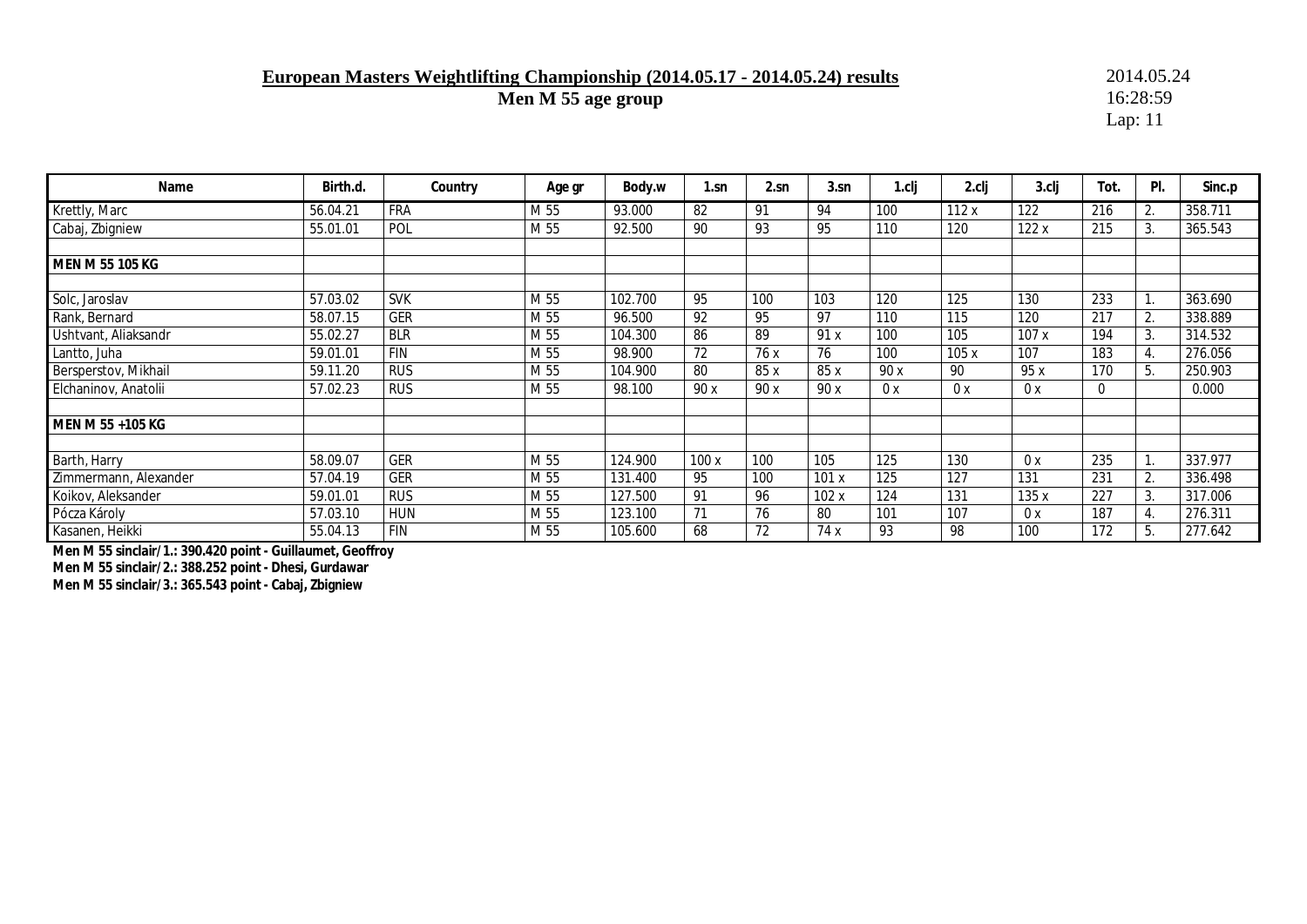### **European Masters Weightlifting Championship (2014.05.17 - 2014.05.24) results** 2014.05.24<br>Men M 55 age group 16:28:59

**Men M 55 age group** 

Lap: 11

| Name                  | Birth.d. | Country    | Age gr | Body.w  | 1.sn | 2.sn | 3.sn | l.cli | 2.clj | 3.clj | Tot. | PI. | Sinc.p  |
|-----------------------|----------|------------|--------|---------|------|------|------|-------|-------|-------|------|-----|---------|
| Krettly, Marc         | 56.04.21 | <b>FRA</b> | M 55   | 93.000  | 82   | 91   | 94   | 100   | 112x  | 122   | 216  | 2.  | 358.711 |
| Cabaj, Zbigniew       | 55.01.01 | POL        | M 55   | 92.500  | 90   | 93   | 95   | 110   | 120   | 122x  | 215  | 3.  | 365.543 |
|                       |          |            |        |         |      |      |      |       |       |       |      |     |         |
| MEN M 55 105 KG       |          |            |        |         |      |      |      |       |       |       |      |     |         |
|                       |          |            |        |         |      |      |      |       |       |       |      |     |         |
| Solc, Jaroslav        | 57.03.02 | <b>SVK</b> | M 55   | 102.700 | 95   | 100  | 103  | 120   | 125   | 130   | 233  |     | 363.690 |
| Rank, Bernard         | 58.07.15 | <b>GER</b> | M 55   | 96.500  | 92   | 95   | 97   | 110   | 115   | 120   | 217  | 2.  | 338.889 |
| Ushtvant, Aliaksandr  | 55.02.27 | <b>BLR</b> | M 55   | 104.300 | 86   | 89   | 91 x | 100   | 105   | 107x  | 194  | 3.  | 314.532 |
| Lantto, Juha          | 59.01.01 | <b>FIN</b> | M 55   | 98.900  | 72   | 76 x | 76   | 100   | 105x  | 107   | 183  | 4.  | 276.056 |
| Bersperstov, Mikhail  | 59.11.20 | <b>RUS</b> | M 55   | 104.900 | 80   | 85 x | 85 x | 90 x  | 90    | 95 x  | 170  | 5.  | 250.903 |
| Elchaninov, Anatolii  | 57.02.23 | <b>RUS</b> | M 55   | 98.100  | 90 x | 90x  | 90 x | 0x    | 0x    | 0x    | 0    |     | 0.000   |
|                       |          |            |        |         |      |      |      |       |       |       |      |     |         |
| MEN M 55 +105 KG      |          |            |        |         |      |      |      |       |       |       |      |     |         |
|                       |          |            |        |         |      |      |      |       |       |       |      |     |         |
| Barth, Harry          | 58.09.07 | GER        | M 55   | 124.900 | 100x | 100  | 105  | 125   | 130   | 0x    | 235  |     | 337.977 |
| Zimmermann, Alexander | 57.04.19 | GER        | M 55   | 131.400 | 95   | 100  | 101x | 125   | 127   | 131   | 231  | 2.  | 336.498 |
| Koikov, Aleksander    | 59.01.01 | <b>RUS</b> | M 55   | 127.500 | 91   | 96   | 102x | 124   | 131   | 135x  | 227  | 3.  | 317.006 |
| Pócza Károly          | 57.03.10 | <b>HUN</b> | M 55   | 123.100 | 71   | 76   | 80   | 101   | 107   | 0x    | 187  | 4.  | 276.311 |
| Kasanen, Heikki       | 55.04.13 | <b>FIN</b> | M 55   | 105.600 | 68   | 72   | 74 x | 93    | 98    | 100   | 172  | 5.  | 277.642 |

**Men M 55 sinclair/1.: 390.420 point - Guillaumet, Geoffroy** 

**Men M 55 sinclair/2.: 388.252 point - Dhesi, Gurdawar** 

**Men M 55 sinclair/3.: 365.543 point - Cabaj, Zbigniew**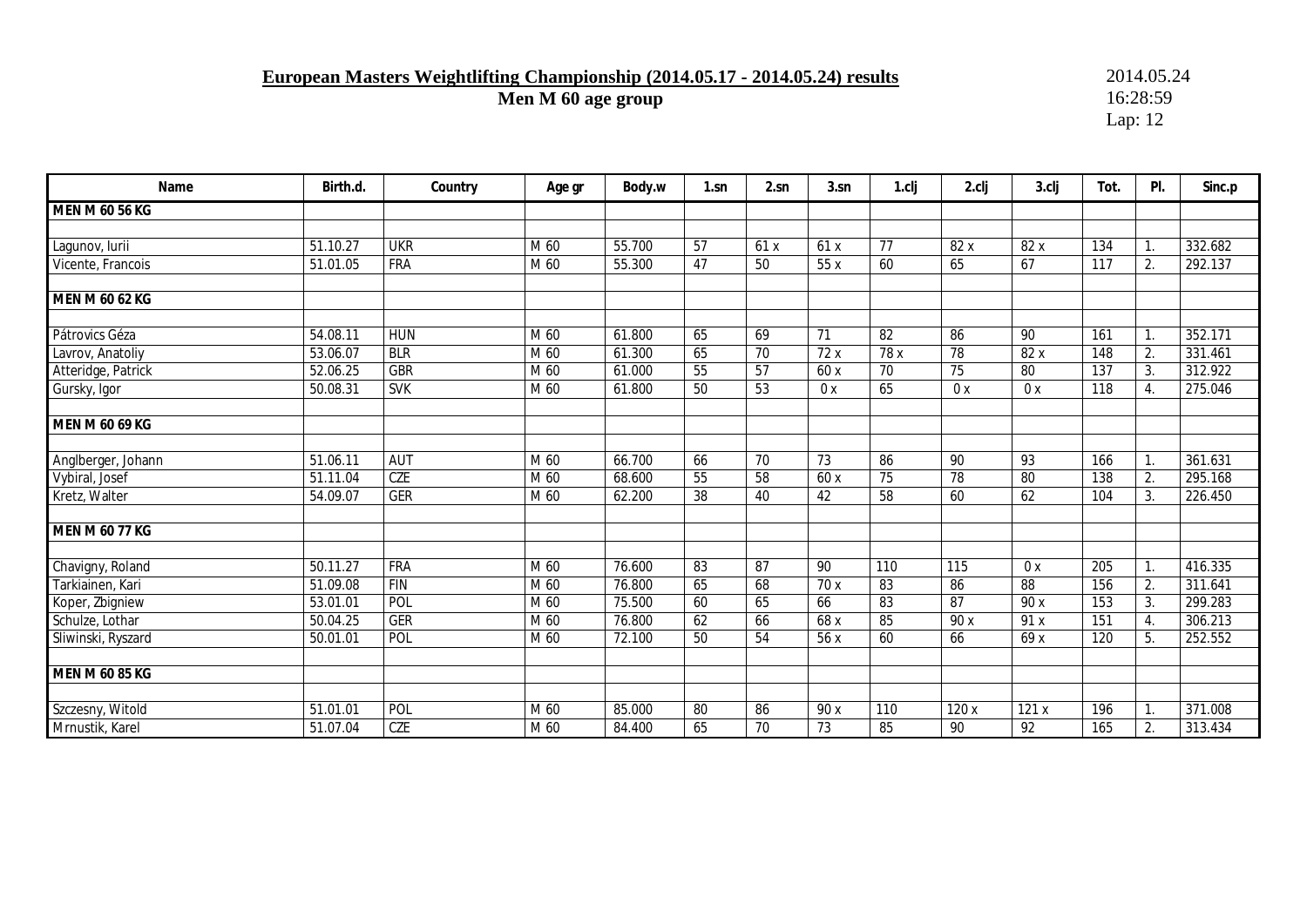# **European Masters Weightlifting Championship (2014.05.17 - 2014.05.24) results** 2014.05.24<br>Men M 60 age group 16:28:59

**Men M 60 age group** 

| Name                  | Birth.d. | Country    | Age gr            | Body.w | $1$ .sn | 2.sn            | 3.sn            | 1.clj           | 2.clj | 3.clj           | Tot. | PI. | Sinc.p  |
|-----------------------|----------|------------|-------------------|--------|---------|-----------------|-----------------|-----------------|-------|-----------------|------|-----|---------|
| MEN M 60 56 KG        |          |            |                   |        |         |                 |                 |                 |       |                 |      |     |         |
|                       |          |            |                   |        |         |                 |                 |                 |       |                 |      |     |         |
| Lagunov, lurii        | 51.10.27 | <b>UKR</b> | M 60              | 55.700 | 57      | 61x             | 61x             | 77              | 82 x  | 82 x            | 134  | 1.  | 332.682 |
| Vicente, Francois     | 51.01.05 | <b>FRA</b> | M 60              | 55.300 | 47      | 50              | 55 x            | 60              | 65    | 67              | 117  | 2.  | 292.137 |
|                       |          |            |                   |        |         |                 |                 |                 |       |                 |      |     |         |
| MEN M 60 62 KG        |          |            |                   |        |         |                 |                 |                 |       |                 |      |     |         |
|                       |          |            |                   |        |         |                 |                 |                 |       |                 |      |     |         |
| Pátrovics Géza        | 54.08.11 | <b>HUN</b> | M 60              | 61.800 | 65      | 69              | 71              | 82              | 86    | 90              | 161  | 1.  | 352.171 |
| Lavrov, Anatoliy      | 53.06.07 | <b>BLR</b> | M 60              | 61.300 | 65      | $\overline{70}$ | 72x             | 78x             | 78    | 82x             | 148  | 2.  | 331.461 |
| Atteridge, Patrick    | 52.06.25 | <b>GBR</b> | $\overline{M}$ 60 | 61.000 | 55      | 57              | 60 x            | $70$            | 75    | 80              | 137  | 3.  | 312.922 |
| Gursky, Igor          | 50.08.31 | <b>SVK</b> | M 60              | 61.800 | 50      | 53              | 0x              | 65              | 0x    | 0x              | 118  | 4.  | 275.046 |
|                       |          |            |                   |        |         |                 |                 |                 |       |                 |      |     |         |
| MEN M 60 69 KG        |          |            |                   |        |         |                 |                 |                 |       |                 |      |     |         |
|                       |          |            |                   |        |         |                 |                 |                 |       |                 |      |     |         |
| Anglberger, Johann    | 51.06.11 | <b>AUT</b> | M 60              | 66.700 | 66      | $\overline{70}$ | $\overline{73}$ | 86              | 90    | 93              | 166  | 1.  | 361.631 |
| Vybiral, Josef        | 51.11.04 | <b>CZE</b> | M 60              | 68.600 | 55      | 58              | 60 x            | $\overline{75}$ | 78    | 80              | 138  | 2.  | 295.168 |
| Kretz, Walter         | 54.09.07 | <b>GER</b> | M 60              | 62.200 | 38      | 40              | 42              | 58              | 60    | 62              | 104  | 3.  | 226.450 |
|                       |          |            |                   |        |         |                 |                 |                 |       |                 |      |     |         |
| MEN M 60 77 KG        |          |            |                   |        |         |                 |                 |                 |       |                 |      |     |         |
|                       |          |            |                   |        |         |                 |                 |                 |       |                 |      |     |         |
| Chavigny, Roland      | 50.11.27 | <b>FRA</b> | M 60              | 76.600 | 83      | 87              | 90              | 110             | 115   | 0x              | 205  | 1.  | 416.335 |
| Tarkiainen, Kari      | 51.09.08 | FIN        | M 60              | 76.800 | 65      | 68              | 70 x            | 83              | 86    | $\overline{88}$ | 156  | 2.  | 311.641 |
| Koper, Zbigniew       | 53.01.01 | POL        | M 60              | 75.500 | 60      | 65              | 66              | 83              | 87    | 90 x            | 153  | 3.  | 299.283 |
| Schulze, Lothar       | 50.04.25 | <b>GER</b> | M 60              | 76.800 | 62      | 66              | 68 x            | 85              | 90 x  | 91 x            | 151  | 4.  | 306.213 |
| Sliwinski, Ryszard    | 50.01.01 | POL        | M 60              | 72.100 | 50      | 54              | 56x             | 60              | 66    | 69x             | 120  | 5.  | 252.552 |
|                       |          |            |                   |        |         |                 |                 |                 |       |                 |      |     |         |
| <b>MEN M 60 85 KG</b> |          |            |                   |        |         |                 |                 |                 |       |                 |      |     |         |
|                       |          |            |                   |        |         |                 |                 |                 |       |                 |      |     |         |
| Szczesny, Witold      | 51.01.01 | POL        | M 60              | 85.000 | 80      | 86              | 90 x            | 110             | 120 x | 121x            | 196  | 1.  | 371.008 |
| Mrnustik, Karel       | 51.07.04 | <b>CZE</b> | M 60              | 84.400 | 65      | $\overline{70}$ | 73              | 85              | 90    | $\overline{92}$ | 165  | 2.  | 313.434 |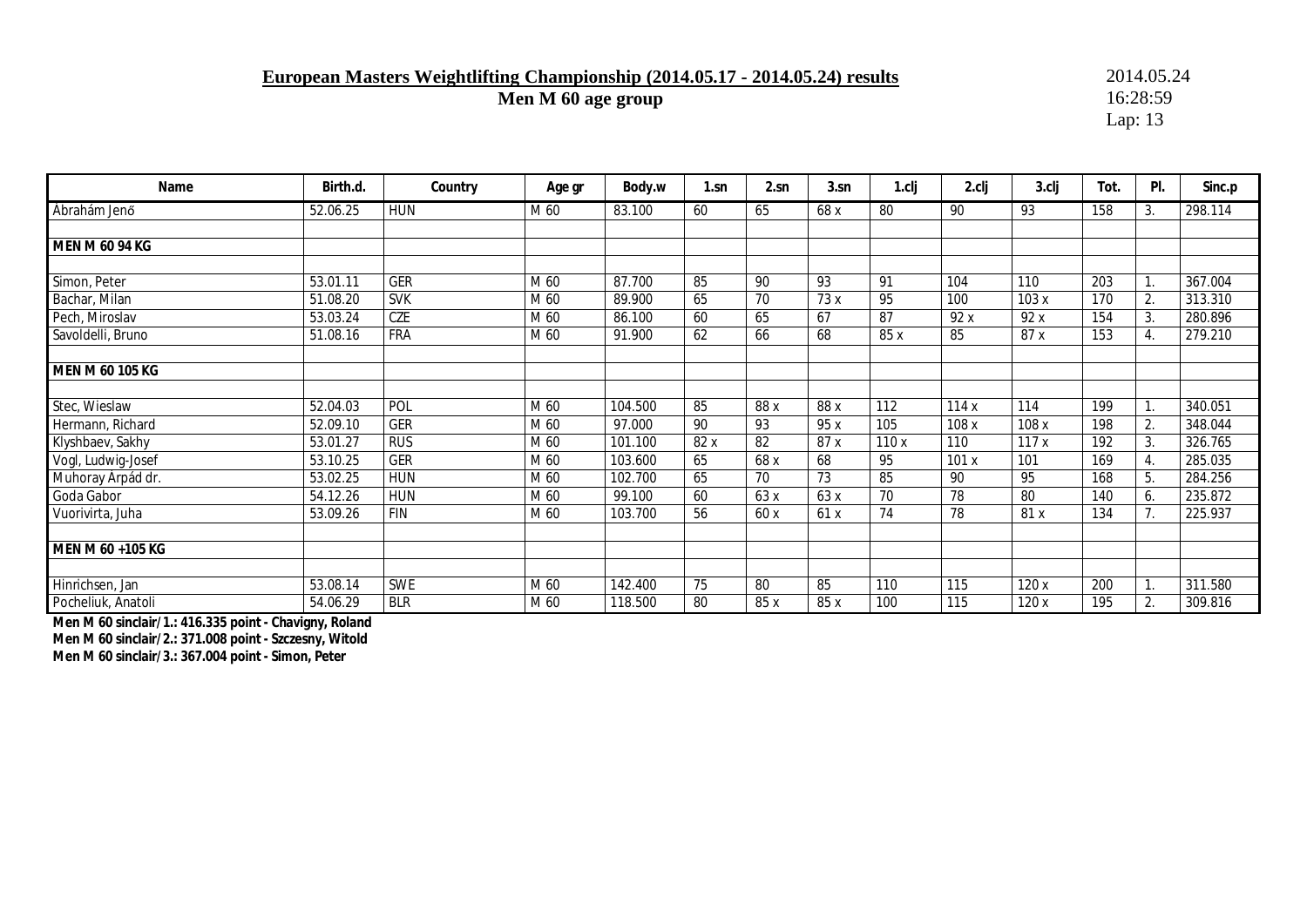### **European Masters Weightlifting Championship (2014.05.17 - 2014.05.24) results** 2014.05.24<br>Men M 60 age group 16:28:59

**Men M 60 age group** 

Lap: 13

| Name               | Birth.d. | Country    | Age gr | Body.w  | 1.sn | 2.sn | 3.sn            | 1.cli | 2.clj | 3.cli | Tot. | PI.            | Sinc.p  |
|--------------------|----------|------------|--------|---------|------|------|-----------------|-------|-------|-------|------|----------------|---------|
| Ábrahám Jenő       | 52.06.25 | <b>HUN</b> | M 60   | 83.100  | 60   | 65   | 68 x            | 80    | 90    | 93    | 158  | 3.             | 298.114 |
|                    |          |            |        |         |      |      |                 |       |       |       |      |                |         |
| MEN M 60 94 KG     |          |            |        |         |      |      |                 |       |       |       |      |                |         |
|                    |          |            |        |         |      |      |                 |       |       |       |      |                |         |
| Simon, Peter       | 53.01.11 | <b>GER</b> | M 60   | 87.700  | 85   | 90   | 93              | 91    | 104   | 110   | 203  | $\mathbf{1}$ . | 367.004 |
| Bachar, Milan      | 51.08.20 | <b>SVK</b> | M 60   | 89.900  | 65   | 70   | 73 x            | 95    | 100   | 103x  | 170  | 2.             | 313.310 |
| Pech, Miroslav     | 53.03.24 | CZE        | M 60   | 86.100  | 60   | 65   | 67              | 87    | 92x   | 92x   | 154  | 3.             | 280.896 |
| Savoldelli, Bruno  | 51.08.16 | <b>FRA</b> | M 60   | 91.900  | 62   | 66   | 68              | 85 x  | 85    | 87x   | 153  | 4.             | 279.210 |
|                    |          |            |        |         |      |      |                 |       |       |       |      |                |         |
| MEN M 60 105 KG    |          |            |        |         |      |      |                 |       |       |       |      |                |         |
|                    |          |            |        |         |      |      |                 |       |       |       |      |                |         |
| Stec, Wieslaw      | 52.04.03 | POL        | M 60   | 104.500 | 85   | 88 x | 88 x            | 112   | 114x  | 114   | 199  | $\mathbf{1}$ . | 340.051 |
| Hermann, Richard   | 52.09.10 | <b>GER</b> | M 60   | 97.000  | 90   | 93   | 95 x            | 105   | 108 x | 108 x | 198  | 2.             | 348.044 |
| Klyshbaev, Sakhy   | 53.01.27 | <b>RUS</b> | M 60   | 101.100 | 82 x | 82   | 87 x            | 110x  | 110   | 117x  | 192  | 3.             | 326.765 |
| Vogl, Ludwig-Josef | 53.10.25 | <b>GER</b> | M 60   | 103.600 | 65   | 68 x | 68              | 95    | 101x  | 101   | 169  | 4.             | 285.035 |
| Muhoray Árpád dr.  | 53.02.25 | <b>HUN</b> | M 60   | 102.700 | 65   | 70   | $\overline{73}$ | 85    | 90    | 95    | 168  | 5.             | 284.256 |
| Goda Gabor         | 54.12.26 | <b>HUN</b> | M 60   | 99.100  | 60   | 63 x | 63 x            | 70    | 78    | 80    | 140  | 6.             | 235.872 |
| Vuorivirta, Juha   | 53.09.26 | <b>FIN</b> | M 60   | 103.700 | 56   | 60 x | 61 x            | 74    | 78    | 81 x  | 134  | 7.             | 225.937 |
|                    |          |            |        |         |      |      |                 |       |       |       |      |                |         |
| MEN M 60 +105 KG   |          |            |        |         |      |      |                 |       |       |       |      |                |         |
|                    |          |            |        |         |      |      |                 |       |       |       |      |                |         |
| Hinrichsen, Jan    | 53.08.14 | SWE        | M 60   | 142.400 | 75   | 80   | 85              | 110   | 115   | 120 x | 200  | $\mathbf{1}$ . | 311.580 |
| Pocheliuk, Anatoli | 54.06.29 | <b>BLR</b> | M 60   | 118.500 | 80   | 85 x | 85 x            | 100   | 115   | 120x  | 195  | 2.             | 309.816 |

**Men M 60 sinclair/1.: 416.335 point - Chavigny, Roland Men M 60 sinclair/2.: 371.008 point - Szczesny, Witold Men M 60 sinclair/3.: 367.004 point - Simon, Peter**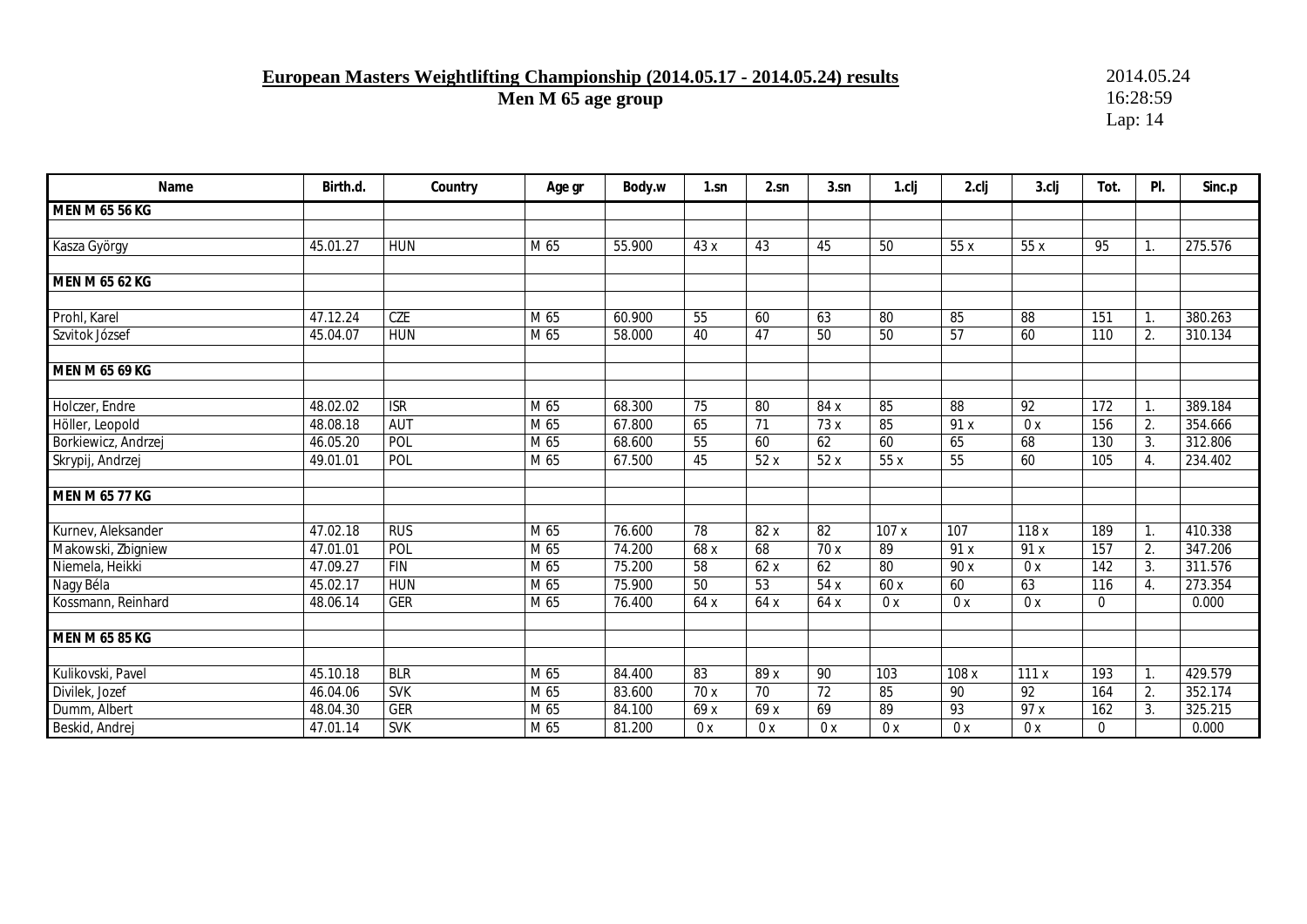# **European Masters Weightlifting Championship (2014.05.17 - 2014.05.24) results** 2014.05.24<br>Men M 65 age group 16:28:59

**Men M 65 age group** 

| Name                  | Birth.d.              | Country                 | Age gr            | Body.w | $1$ .sn          | 2.sn            | 3.sn            | 1.clj | 2.clj           | $3$ .clj        | Tot.         | PI. | Sinc.p  |
|-----------------------|-----------------------|-------------------------|-------------------|--------|------------------|-----------------|-----------------|-------|-----------------|-----------------|--------------|-----|---------|
| MEN M 65 56 KG        |                       |                         |                   |        |                  |                 |                 |       |                 |                 |              |     |         |
|                       |                       |                         |                   |        |                  |                 |                 |       |                 |                 |              |     |         |
| Kasza György          | 45.01.27              | <b>HUN</b>              | M 65              | 55.900 | 43x              | 43              | 45              | 50    | 55x             | 55x             | 95           | 1.  | 275.576 |
|                       |                       |                         |                   |        |                  |                 |                 |       |                 |                 |              |     |         |
| MEN M 65 62 KG        |                       |                         |                   |        |                  |                 |                 |       |                 |                 |              |     |         |
|                       |                       |                         |                   |        |                  |                 |                 |       |                 |                 |              |     |         |
| Prohl, Karel          | 47.12.24              | <b>CZE</b>              | M 65              | 60.900 | 55               | 60              | 63              | 80    | 85              | 88              | 151          | 1.  | 380.263 |
| Szvitok József        | 45.04.07              | <b>HUN</b>              | M 65              | 58.000 | 40               | 47              | 50              | 50    | 57              | 60              | 110          | 2.  | 310.134 |
|                       |                       |                         |                   |        |                  |                 |                 |       |                 |                 |              |     |         |
| MEN M 65 69 KG        |                       |                         |                   |        |                  |                 |                 |       |                 |                 |              |     |         |
|                       |                       |                         |                   |        |                  |                 |                 |       |                 |                 |              |     |         |
| Holczer, Endre        | 48.02.02              | $\overline{\text{ISR}}$ | M 65              | 68.300 | $\overline{75}$  | 80              | 84 x            | 85    | $\overline{88}$ | $\overline{92}$ | 172          | 1.  | 389.184 |
| Höller, Leopold       | 48.08.18              | <b>AUT</b>              | M 65              | 67.800 | 65               | 71              | 73 x            | 85    | 91x             | 0x              | 156          | 2.  | 354.666 |
| Borkiewicz, Andrzej   | 46.05.20              | POL                     | M 65              | 68.600 | 55               | 60              | 62              | 60    | 65              | 68              | 130          | 3.  | 312.806 |
| Skrypij, Andrzej      | 49.01.01              | POL                     | M 65              | 67.500 | 45               | 52x             | 52x             | 55x   | 55              | 60              | 105          | 4.  | 234.402 |
| <b>MEN M 65 77 KG</b> |                       |                         |                   |        |                  |                 |                 |       |                 |                 |              |     |         |
|                       |                       |                         |                   |        |                  |                 |                 |       |                 |                 |              |     |         |
| Kurnev, Aleksander    | 47.02.18              | <b>RUS</b>              | M 65              | 76.600 | 78               | 82 x            | 82              | 107x  | 107             | 118x            | 189          | 1.  | 410.338 |
| Makowski, Zbigniew    | 47.01.01              | POL                     | M 65              | 74.200 | 68 x             | 68              | 70x             | 89    | 91 x            | 91 x            | 157          | 2.  | 347.206 |
| Niemela, Heikki       | 47.09.27              | <b>FIN</b>              | M 65              | 75.200 | 58               | 62x             | 62              | 80    | 90 x            | 0x              | 142          | 3.  | 311.576 |
| Nagy Béla             | $45.02.\overline{17}$ | <b>HUN</b>              | $\overline{M}$ 65 | 75.900 | 50               | 53              | 54x             | 60 x  | 60              | 63              | 116          | 4.  | 273.354 |
| Kossmann, Reinhard    | 48.06.14              | <b>GER</b>              | M 65              | 76.400 | 64 x             | 64 x            | 64 x            | 0x    | 0x              | 0x              | $\Omega$     |     | 0.000   |
|                       |                       |                         |                   |        |                  |                 |                 |       |                 |                 |              |     |         |
| <b>MEN M 65 85 KG</b> |                       |                         |                   |        |                  |                 |                 |       |                 |                 |              |     |         |
|                       |                       |                         |                   |        |                  |                 |                 |       |                 |                 |              |     |         |
| Kulikovski, Pavel     | 45.10.18              | <b>BLR</b>              | M 65              | 84.400 | 83               | 89 x            | 90              | 103   | 108x            | 111x            | 193          | 1.  | 429.579 |
| Divilek, Jozef        | 46.04.06              | <b>SVK</b>              | M 65              | 83.600 | $\overline{70x}$ | $\overline{70}$ | $\overline{72}$ | 85    | 90              | $\overline{92}$ | 164          | 2.  | 352.174 |
| Dumm, Albert          | 48.04.30              | GER                     | M 65              | 84.100 | 69 x             | 69 x            | 69              | 89    | 93              | 97 x            | 162          | 3.  | 325.215 |
| Beskid, Andrej        | 47.01.14              | <b>SVK</b>              | M 65              | 81.200 | 0x               | 0x              | 0x              | 0x    | 0x              | 0x              | $\mathbf{0}$ |     | 0.000   |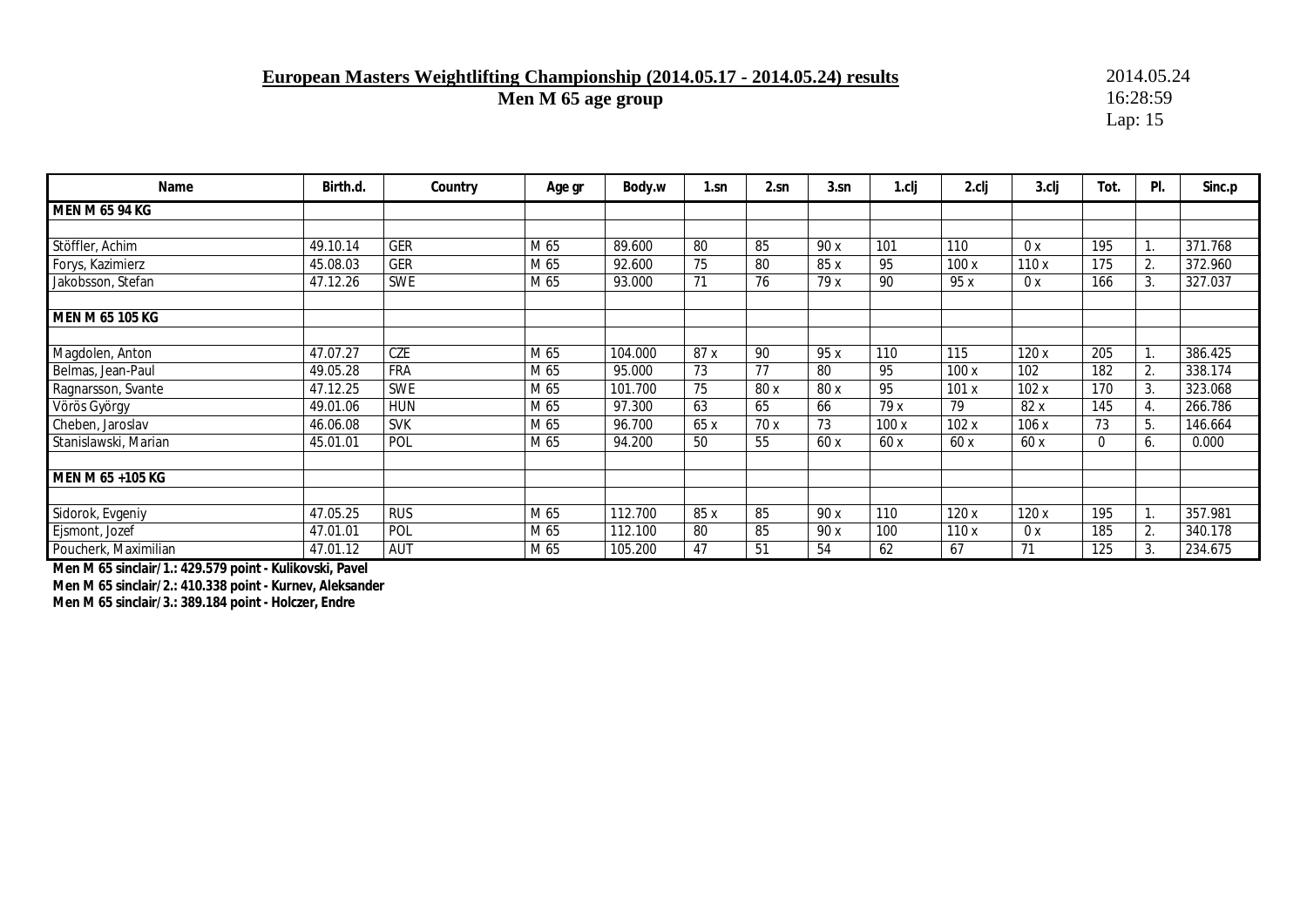### **European Masters Weightlifting Championship (2014.05.17 - 2014.05.24) results** 2014.05.24<br>Men M 65 age group 16:28:59

**Men M 65 age group** 

Lap: 15

| Name                 | Birth.d. | Country    | Age gr | Body.w  | $1$ .sn | 2.sn | 3.sn | 1.cli | 2.clj | 3.clj | Tot.     | PI.              | Sinc.p  |
|----------------------|----------|------------|--------|---------|---------|------|------|-------|-------|-------|----------|------------------|---------|
| MEN M 65 94 KG       |          |            |        |         |         |      |      |       |       |       |          |                  |         |
|                      |          |            |        |         |         |      |      |       |       |       |          |                  |         |
| Stöffler, Achim      | 49.10.14 | <b>GER</b> | M 65   | 89.600  | 80      | 85   | 90 x | 101   | 110   | 0x    | 195      |                  | 371.768 |
| Forys, Kazimierz     | 45.08.03 | <b>GER</b> | M 65   | 92.600  | 75      | 80   | 85 x | 95    | 100x  | 110x  | 175      | 2.               | 372.960 |
| Jakobsson, Stefan    | 47.12.26 | <b>SWE</b> | M 65   | 93.000  | 71      | 76   | 79 x | 90    | 95 x  | 0x    | 166      | 3.               | 327.037 |
| MEN M 65 105 KG      |          |            |        |         |         |      |      |       |       |       |          |                  |         |
| Magdolen, Anton      | 47.07.27 | CZE        | M 65   | 104.000 | 87 x    | 90   | 95 x | 110   | 115   | 120x  | 205      |                  | 386.425 |
| Belmas, Jean-Paul    | 49.05.28 | <b>FRA</b> | M 65   | 95.000  | 73      | 77   | 80   | 95    | 100x  | 102   | 182      | 2.               | 338.174 |
| Ragnarsson, Svante   | 47.12.25 | SWE        | M 65   | 101.700 | 75      | 80 x | 80 x | 95    | 101x  | 102x  | 170      | 3.               | 323.068 |
| Vörös György         | 49.01.06 | <b>HUN</b> | M 65   | 97.300  | 63      | 65   | 66   | 79x   | 79    | 82x   | 145      | $\overline{4}$ . | 266.786 |
| Cheben, Jaroslav     | 46.06.08 | <b>SVK</b> | M 65   | 96.700  | 65 x    | 70x  | 73   | 100x  | 102x  | 106x  | 73       | 5.               | 146.664 |
| Stanislawski, Marian | 45.01.01 | POL        | M 65   | 94.200  | 50      | 55   | 60x  | 60x   | 60x   | 60x   | $\Omega$ | 6.               | 0.000   |
| MEN M 65 +105 KG     |          |            |        |         |         |      |      |       |       |       |          |                  |         |
| Sidorok, Evgeniy     | 47.05.25 | <b>RUS</b> | M 65   | 112.700 | 85 x    | 85   | 90 x | 110   | 120x  | 120 x | 195      |                  | 357.981 |
| Ejsmont, Jozef       | 47.01.01 | POL        | M 65   | 112.100 | 80      | 85   | 90 x | 100   | 110x  | 0x    | 185      | 2.               | 340.178 |
| Poucherk, Maximilian | 47.01.12 | AUT        | M 65   | 105.200 | 47      | 51   | 54   | 62    | 67    | 71    | 125      | 3.               | 234.675 |

**Men M 65 sinclair/1.: 429.579 point - Kulikovski, Pavel Men M 65 sinclair/2.: 410.338 point - Kurnev, Aleksander Men M 65 sinclair/3.: 389.184 point - Holczer, Endre**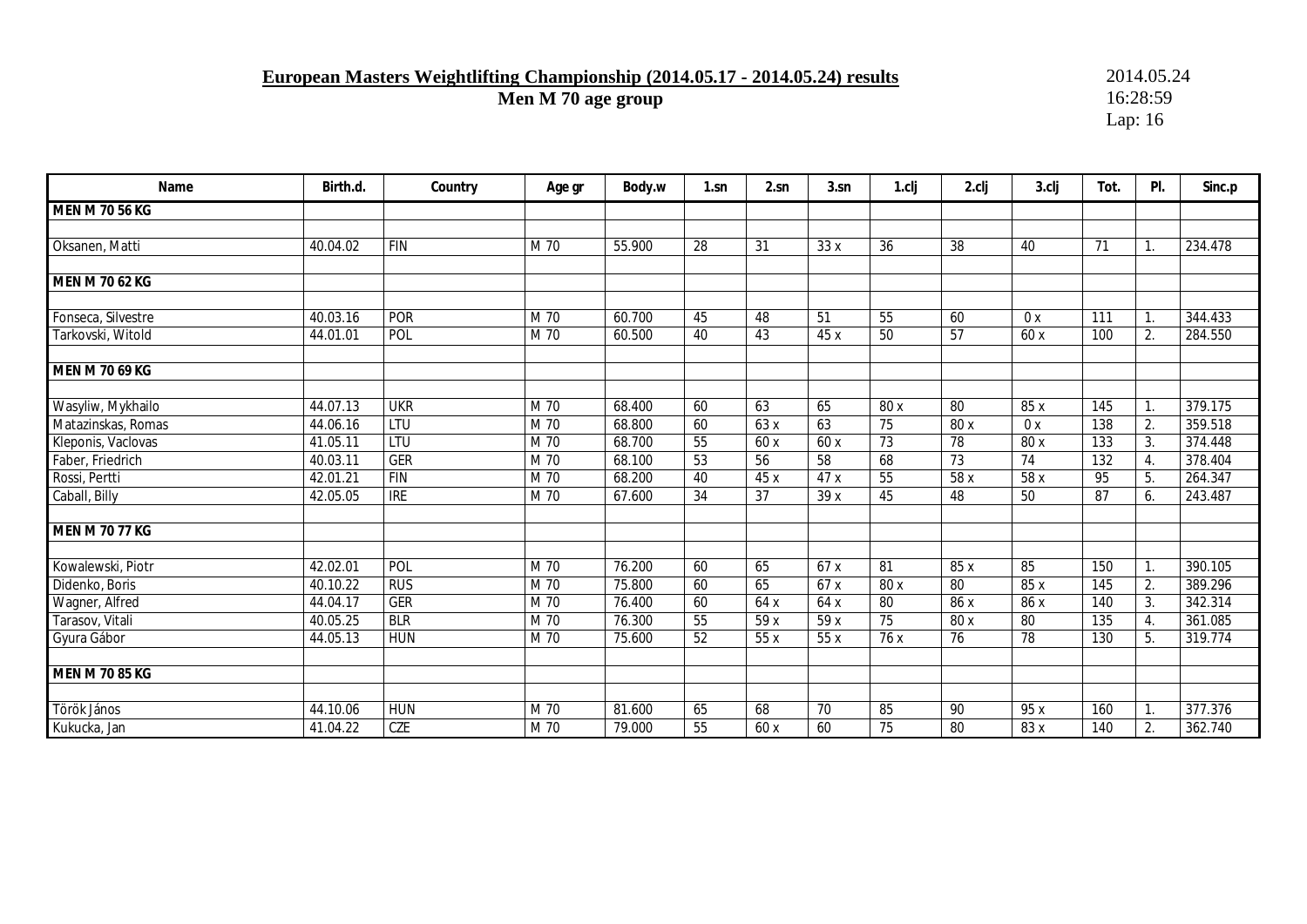## **European Masters Weightlifting Championship (2014.05.17 - 2014.05.24) results** 2014.05.24<br>Men M 70 age group 16:28:59

**Men M 70 age group** 

| Name                  | Birth.d. | Country          | Age gr | Body.w | $1$ .sn         | 2.sn | 3.sn | 1.clj           | 2.clj           | 3.clj | Tot. | PI. | Sinc.p  |
|-----------------------|----------|------------------|--------|--------|-----------------|------|------|-----------------|-----------------|-------|------|-----|---------|
| <b>MEN M 70 56 KG</b> |          |                  |        |        |                 |      |      |                 |                 |       |      |     |         |
|                       |          |                  |        |        |                 |      |      |                 |                 |       |      |     |         |
| Oksanen, Matti        | 40.04.02 | <b>FIN</b>       | M 70   | 55.900 | 28              | 31   | 33x  | 36              | 38              | 40    | 71   | 1.  | 234.478 |
|                       |          |                  |        |        |                 |      |      |                 |                 |       |      |     |         |
| MEN M 70 62 KG        |          |                  |        |        |                 |      |      |                 |                 |       |      |     |         |
|                       |          |                  |        |        |                 |      |      |                 |                 |       |      |     |         |
| Fonseca, Silvestre    | 40.03.16 | <b>POR</b>       | M 70   | 60.700 | 45              | 48   | 51   | 55              | 60              | 0x    | 111  | 1.  | 344.433 |
| Tarkovski, Witold     | 44.01.01 | POL              | M 70   | 60.500 | 40              | 43   | 45 x | 50              | 57              | 60 x  | 100  | 2.  | 284.550 |
|                       |          |                  |        |        |                 |      |      |                 |                 |       |      |     |         |
| MEN M 70 69 KG        |          |                  |        |        |                 |      |      |                 |                 |       |      |     |         |
|                       |          |                  |        |        |                 |      |      |                 |                 |       |      |     |         |
| Wasyliw, Mykhailo     | 44.07.13 | <b>UKR</b>       | M 70   | 68.400 | 60              | 63   | 65   | 80 x            | $\overline{80}$ | 85 x  | 145  | 1.  | 379.175 |
| Matazinskas, Romas    | 44.06.16 | LTU              | M 70   | 68.800 | 60              | 63x  | 63   | $\overline{75}$ | 80x             | 0x    | 138  | 2.  | 359.518 |
| Kleponis, Vaclovas    | 41.05.11 | LTU              | M 70   | 68.700 | 55              | 60 x | 60x  | 73              | 78              | 80 x  | 133  | 3.  | 374.448 |
| Faber, Friedrich      | 40.03.11 | <b>GER</b>       | M 70   | 68.100 | 53              | 56   | 58   | 68              | 73              | 74    | 132  | 4.  | 378.404 |
| Rossi, Pertti         | 42.01.21 | $\overline{FIN}$ | M 70   | 68.200 | 40              | 45 x | 47x  | $\overline{55}$ | 58 x            | 58 x  | 95   | 5.  | 264.347 |
| Caball, Billy         | 42.05.05 | <b>IRE</b>       | M 70   | 67.600 | $\overline{34}$ | 37   | 39x  | 45              | 48              | 50    | 87   | 6.  | 243.487 |
|                       |          |                  |        |        |                 |      |      |                 |                 |       |      |     |         |
| <b>MEN M 70 77 KG</b> |          |                  |        |        |                 |      |      |                 |                 |       |      |     |         |
|                       |          |                  |        |        |                 |      |      |                 |                 |       |      |     |         |
| Kowalewski, Piotr     | 42.02.01 | POL              | M 70   | 76.200 | 60              | 65   | 67x  | 81              | 85 x            | 85    | 150  | 1.  | 390.105 |
| Didenko, Boris        | 40.10.22 | <b>RUS</b>       | M 70   | 75.800 | 60              | 65   | 67x  | 80 x            | 80              | 85 x  | 145  | 2.  | 389.296 |
| Wagner, Alfred        | 44.04.17 | <b>GER</b>       | M 70   | 76.400 | 60              | 64 x | 64 x | $\overline{80}$ | 86 x            | 86 x  | 140  | 3.  | 342.314 |
| Tarasov, Vitali       | 40.05.25 | <b>BLR</b>       | M 70   | 76.300 | 55              | 59 x | 59 x | $\overline{75}$ | 80 x            | 80    | 135  | 4.  | 361.085 |
| Gyura Gábor           | 44.05.13 | <b>HUN</b>       | M 70   | 75.600 | 52              | 55 x | 55x  | 76 x            | $\overline{76}$ | 78    | 130  | 5.  | 319.774 |
|                       |          |                  |        |        |                 |      |      |                 |                 |       |      |     |         |
| <b>MEN M 70 85 KG</b> |          |                  |        |        |                 |      |      |                 |                 |       |      |     |         |
|                       |          |                  |        |        |                 |      |      |                 |                 |       |      |     |         |
| Török János           | 44.10.06 | <b>HUN</b>       | M 70   | 81.600 | 65              | 68   | 70   | 85              | 90              | 95 x  | 160  | 1.  | 377.376 |
| Kukucka, Jan          | 41.04.22 | <b>CZE</b>       | M 70   | 79.000 | 55              | 60 x | 60   | 75              | 80              | 83 x  | 140  | 2.  | 362.740 |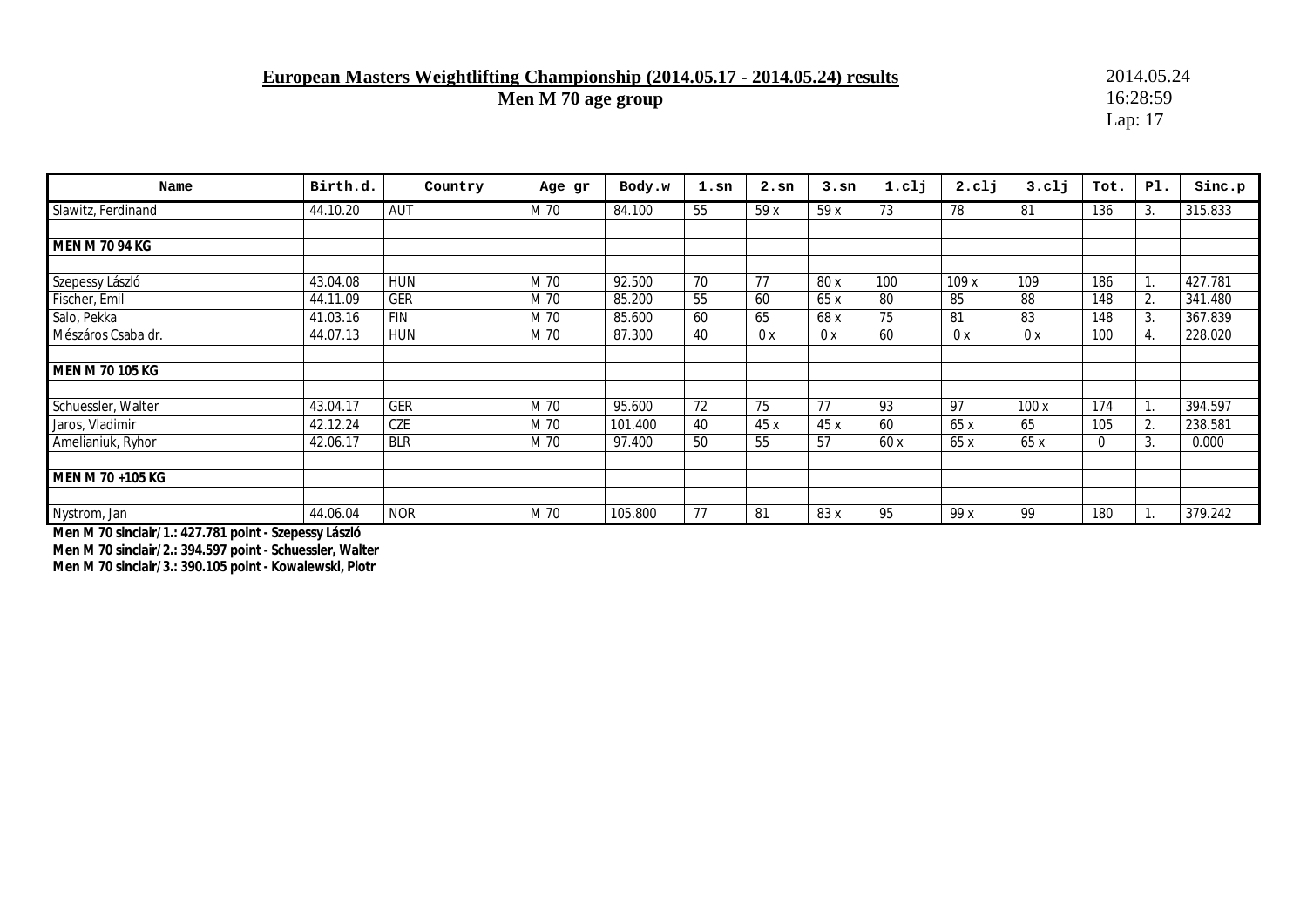### **European Masters Weightlifting Championship (2014.05.17 - 2014.05.24) results** 2014.05.24<br>Men M 70 age group 16:28:59

**Men M 70 age group** 

Lap: 17

| Name                  | Birth.d. | Country    | Age gr | Body.w  | $1.\,\mathrm{sn}$ | $2.\text{sn}$ | 3.5n | 1.c1j | 2. <sub>cl</sub> j | $3.$ c $1j$ | Tot.           | PI. | Sinc.p  |
|-----------------------|----------|------------|--------|---------|-------------------|---------------|------|-------|--------------------|-------------|----------------|-----|---------|
| Slawitz, Ferdinand    | 44.10.20 | AUT        | M 70   | 84.100  | 55                | 59x           | 59 x | 73    | 78                 | -81         | 136            | 3.  | 315.833 |
|                       |          |            |        |         |                   |               |      |       |                    |             |                |     |         |
| <b>MEN M 70 94 KG</b> |          |            |        |         |                   |               |      |       |                    |             |                |     |         |
|                       |          |            |        |         |                   |               |      |       |                    |             |                |     |         |
| Szepessy László       | 43.04.08 | <b>HUN</b> | M 70   | 92.500  | 70                | 77            | 80 x | 100   | 109x               | 109         | 186            |     | 427.781 |
| Fischer, Emil         | 44.11.09 | <b>GER</b> | M 70   | 85.200  | 55                | 60            | 65 x | 80    | 85                 | 88          | 148            | 2.  | 341.480 |
| Salo, Pekka           | 41.03.16 | <b>FIN</b> | M 70   | 85.600  | 60                | 65            | 68 x | 75    | 81                 | 83          | 148            | 3.  | 367.839 |
| Mészáros Csaba dr.    | 44.07.13 | <b>HUN</b> | M 70   | 87.300  | 40                | 0x            | 0x   | 60    | 0 x                | 0x          | 100            | 4.  | 228.020 |
|                       |          |            |        |         |                   |               |      |       |                    |             |                |     |         |
| MEN M 70 105 KG       |          |            |        |         |                   |               |      |       |                    |             |                |     |         |
| Schuessler, Walter    | 43.04.17 | <b>GER</b> | M 70   | 95.600  | 72                | 75            | 77   | 93    | 97                 | 100x        | 174            |     | 394.597 |
|                       |          |            |        |         |                   |               |      |       |                    |             |                |     |         |
| Jaros, Vladimir       | 42.12.24 | CZE        | M 70   | 101.400 | 40                | 45x           | 45 x | 60    | 65x                | 65          | 105            | 2.  | 238.581 |
| Amelianiuk, Ryhor     | 42.06.17 | <b>BLR</b> | M 70   | 97.400  | 50                | 55            | 57   | 60x   | 65x                | 65x         | $\overline{0}$ | 3.  | 0.000   |
| MEN M 70 +105 KG      |          |            |        |         |                   |               |      |       |                    |             |                |     |         |
| Nystrom, Jan          | 44.06.04 | <b>NOR</b> | M 70   | 105.800 | 77                | 81            | 83 x | 95    | 99 x               | 99          | 180            |     | 379.242 |

**Men M 70 sinclair/1.: 427.781 point - Szepessy László Men M 70 sinclair/2.: 394.597 point - Schuessler, Walter Men M 70 sinclair/3.: 390.105 point - Kowalewski, Piotr**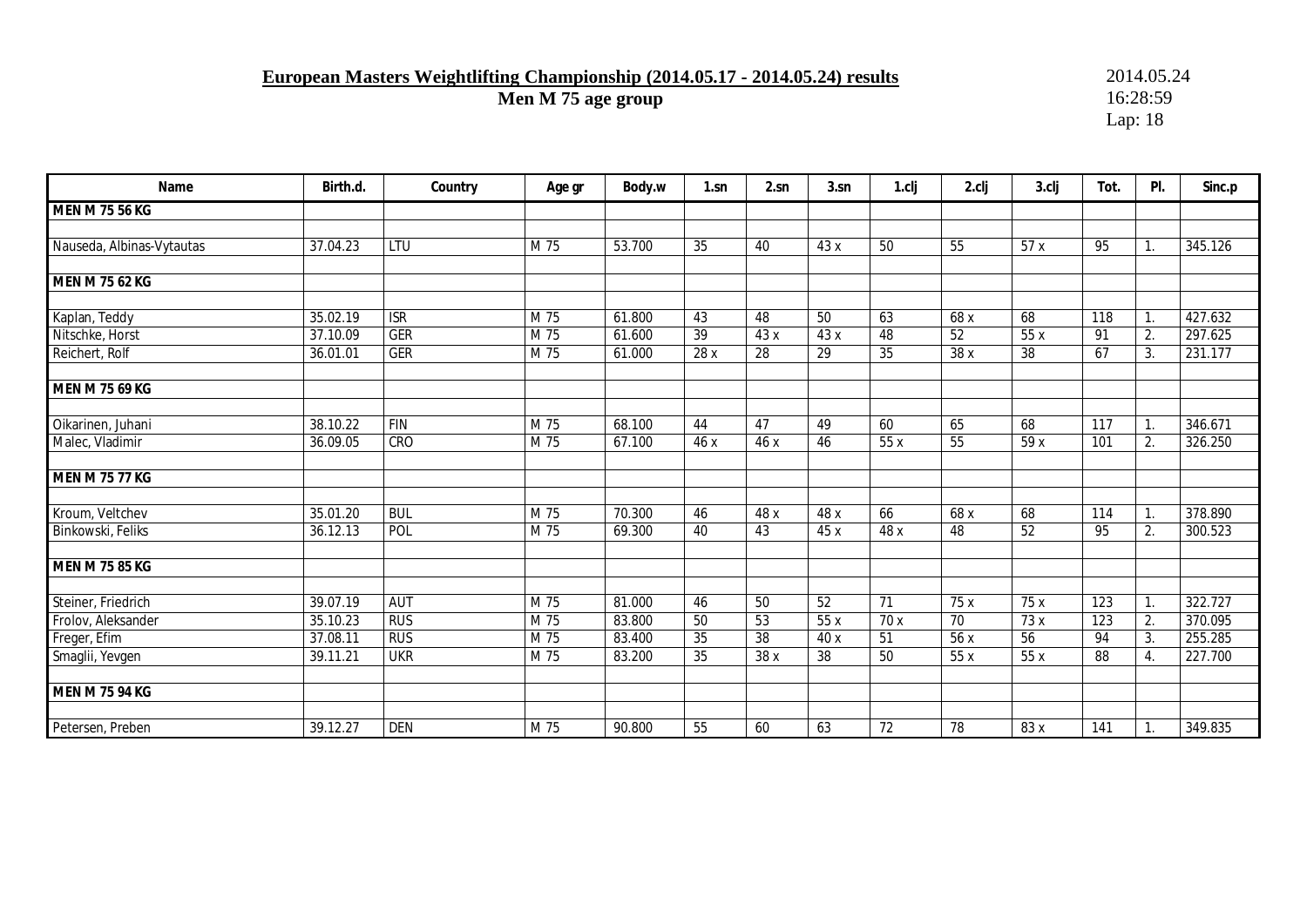# **European Masters Weightlifting Championship (2014.05.17 - 2014.05.24) results** 2014.05.24<br>Men M 75 age group 16:28:59

**Men M 75 age group** 

| Name                      | Birth.d. | Country                 | Age gr | Body.w | $1 \, \text{sn}$ | 2.sn            | 3.sn | 1.clj | 2.clj | 3.clj           | Tot.             | PI.              | Sinc.p  |
|---------------------------|----------|-------------------------|--------|--------|------------------|-----------------|------|-------|-------|-----------------|------------------|------------------|---------|
| <b>MEN M 75 56 KG</b>     |          |                         |        |        |                  |                 |      |       |       |                 |                  |                  |         |
|                           |          |                         |        |        |                  |                 |      |       |       |                 |                  |                  |         |
| Nauseda, Albinas-Vytautas | 37.04.23 | LTU                     | M 75   | 53.700 | 35               | 40              | 43 x | 50    | 55    | 57x             | 95               | $\mathbf{1}$ .   | 345.126 |
|                           |          |                         |        |        |                  |                 |      |       |       |                 |                  |                  |         |
| <b>MEN M 75 62 KG</b>     |          |                         |        |        |                  |                 |      |       |       |                 |                  |                  |         |
|                           |          |                         |        |        |                  |                 |      |       |       |                 |                  |                  |         |
| Kaplan, Teddy             | 35.02.19 | $\overline{\text{ISR}}$ | M 75   | 61.800 | $\overline{43}$  | $\overline{48}$ | 50   | 63    | 68 x  | 68              | 118              | $\overline{1}$ . | 427.632 |
| Nitschke, Horst           | 37.10.09 | <b>GER</b>              | M 75   | 61.600 | $\overline{39}$  | 43 x            | 43 x | 48    | 52    | 55x             | 91               | 2.               | 297.625 |
| Reichert, Rolf            | 36.01.01 | <b>GER</b>              | M 75   | 61.000 | 28 x             | 28              | 29   | 35    | 38x   | 38              | 67               | 3.               | 231.177 |
|                           |          |                         |        |        |                  |                 |      |       |       |                 |                  |                  |         |
| <b>MEN M 75 69 KG</b>     |          |                         |        |        |                  |                 |      |       |       |                 |                  |                  |         |
| Oikarinen, Juhani         | 38.10.22 | <b>FIN</b>              | M 75   | 68.100 | 44               | 47              | 49   | 60    | 65    | 68              | 117              | $\mathbf{1}$ .   | 346.671 |
|                           | 36.09.05 | CRO                     | M 75   | 67.100 | 46x              | 46 x            | 46   | 55x   | 55    | 59 x            | 101              |                  | 326.250 |
| Malec, Vladimir           |          |                         |        |        |                  |                 |      |       |       |                 |                  | 2.               |         |
| <b>MEN M 75 77 KG</b>     |          |                         |        |        |                  |                 |      |       |       |                 |                  |                  |         |
|                           |          |                         |        |        |                  |                 |      |       |       |                 |                  |                  |         |
| Kroum, Veltchev           | 35.01.20 | <b>BUL</b>              | M 75   | 70.300 | 46               | 48 x            | 48 x | 66    | 68 x  | 68              | 114              | $\overline{1}$ . | 378.890 |
| Binkowski, Feliks         | 36.12.13 | POL                     | M 75   | 69.300 | 40               | 43              | 45 x | 48 x  | 48    | 52              | 95               | 2.               | 300.523 |
|                           |          |                         |        |        |                  |                 |      |       |       |                 |                  |                  |         |
| <b>MEN M 75 85 KG</b>     |          |                         |        |        |                  |                 |      |       |       |                 |                  |                  |         |
|                           |          |                         |        |        |                  |                 |      |       |       |                 |                  |                  |         |
| Steiner, Friedrich        | 39.07.19 | <b>AUT</b>              | M 75   | 81.000 | 46               | 50              | 52   | 71    | 75x   | 75x             | $\overline{123}$ | $\mathbf{1}$ .   | 322.727 |
| Frolov, Aleksander        | 35.10.23 | <b>RUS</b>              | M 75   | 83.800 | 50               | 53              | 55 x | 70 x  | 70    | 73 x            | 123              | 2.               | 370.095 |
| Freger, Efim              | 37.08.11 | <b>RUS</b>              | M 75   | 83.400 | $\overline{35}$  | $\overline{38}$ | 40 x | 51    | 56x   | $\overline{56}$ | 94               | 3.               | 255.285 |
| Smaglii, Yevgen           | 39.11.21 | <b>UKR</b>              | M 75   | 83.200 | 35               | 38 x            | 38   | 50    | 55 x  | 55 x            | 88               | 4.               | 227.700 |
|                           |          |                         |        |        |                  |                 |      |       |       |                 |                  |                  |         |
| <b>MEN M 75 94 KG</b>     |          |                         |        |        |                  |                 |      |       |       |                 |                  |                  |         |
|                           |          |                         |        |        |                  |                 |      |       |       |                 |                  |                  |         |
| Petersen, Preben          | 39.12.27 | <b>DEN</b>              | M 75   | 90.800 | 55               | 60              | 63   | 72    | 78    | 83 x            | 141              | 1.               | 349.835 |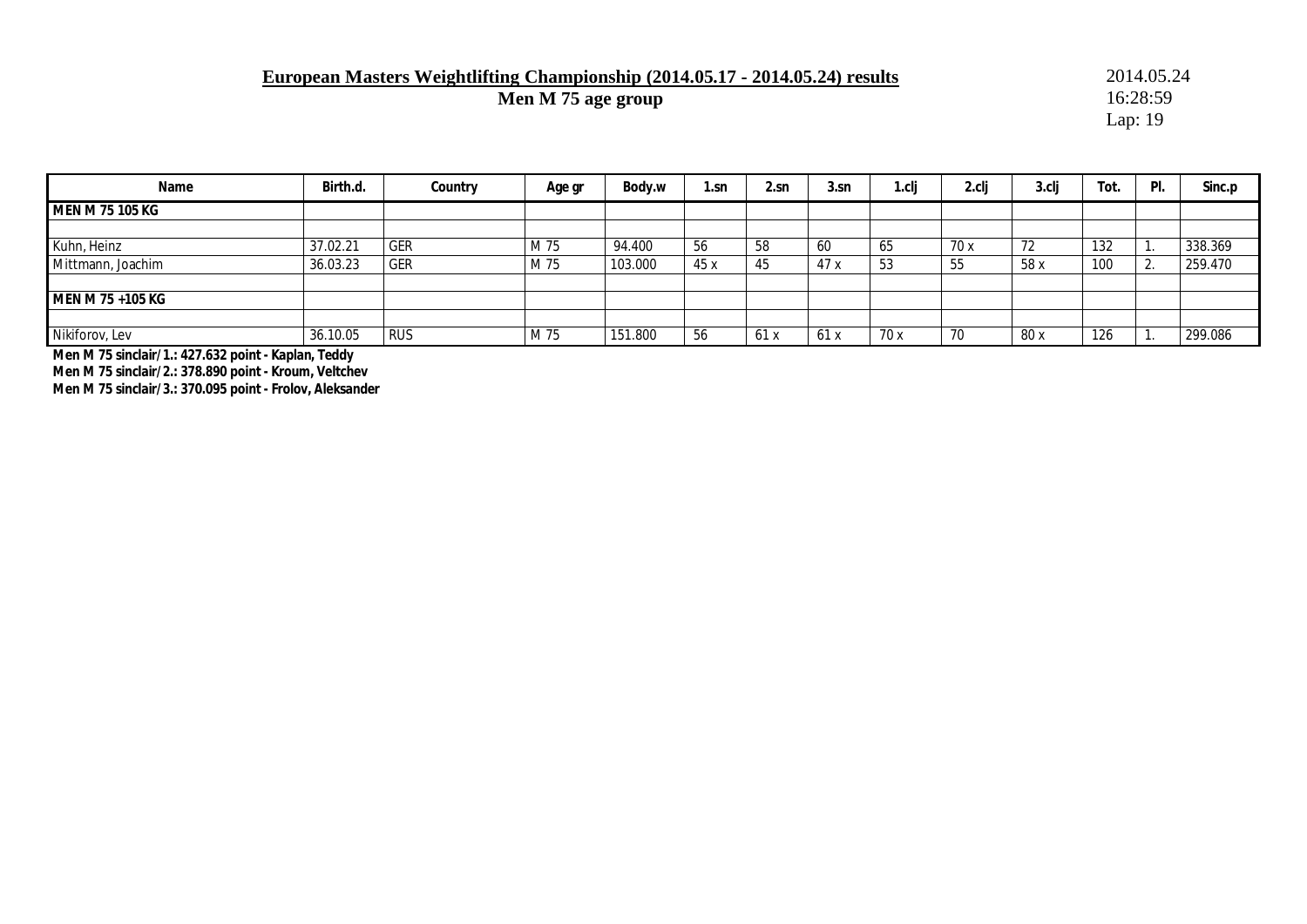### **European Masters Weightlifting Championship (2014.05.17 - 2014.05.24) results** 2014.05.24<br>Men M 75 age group 16:28:59

**Men M 75 age group** 

Lap: 19

| Name              | Birth.d. | Country    | Age gr | Body.w  | 1.sn | 2.sn | 3.sn | r.clj | 2.clj | $3$ .clj | Tot. | PI.          | Sinc.p  |
|-------------------|----------|------------|--------|---------|------|------|------|-------|-------|----------|------|--------------|---------|
| MEN M 75 105 KG   |          |            |        |         |      |      |      |       |       |          |      |              |         |
|                   |          |            |        |         |      |      |      |       |       |          |      |              |         |
| Kuhn, Heinz       | 37.02.21 | <b>GER</b> | M 75   | 94.400  | 56   | 58   | 60   | 65    | 70x   | -72      | 132  | . .          | 338.369 |
| Mittmann, Joachim | 36.03.23 | GER        | M 75   | 103.000 | 45 x | 45   | 47x  | 53    | 55    | 58 x     | 100  | $\sim$<br>z. | 259.470 |
|                   |          |            |        |         |      |      |      |       |       |          |      |              |         |
| MEN M 75 +105 KG  |          |            |        |         |      |      |      |       |       |          |      |              |         |
|                   |          |            |        |         |      |      |      |       |       |          |      |              |         |
| Nikiforov, Lev    | 36.10.05 | <b>RUS</b> | M 75   | 151.800 | 56   | 61 x | 61 X | 70x   | 70    | 80 x     | 126  |              | 299.086 |

**Men M 75 sinclair/1.: 427.632 point - Kaplan, Teddy** 

**Men M 75 sinclair/2.: 378.890 point - Kroum, Veltchev** 

**Men M 75 sinclair/3.: 370.095 point - Frolov, Aleksander**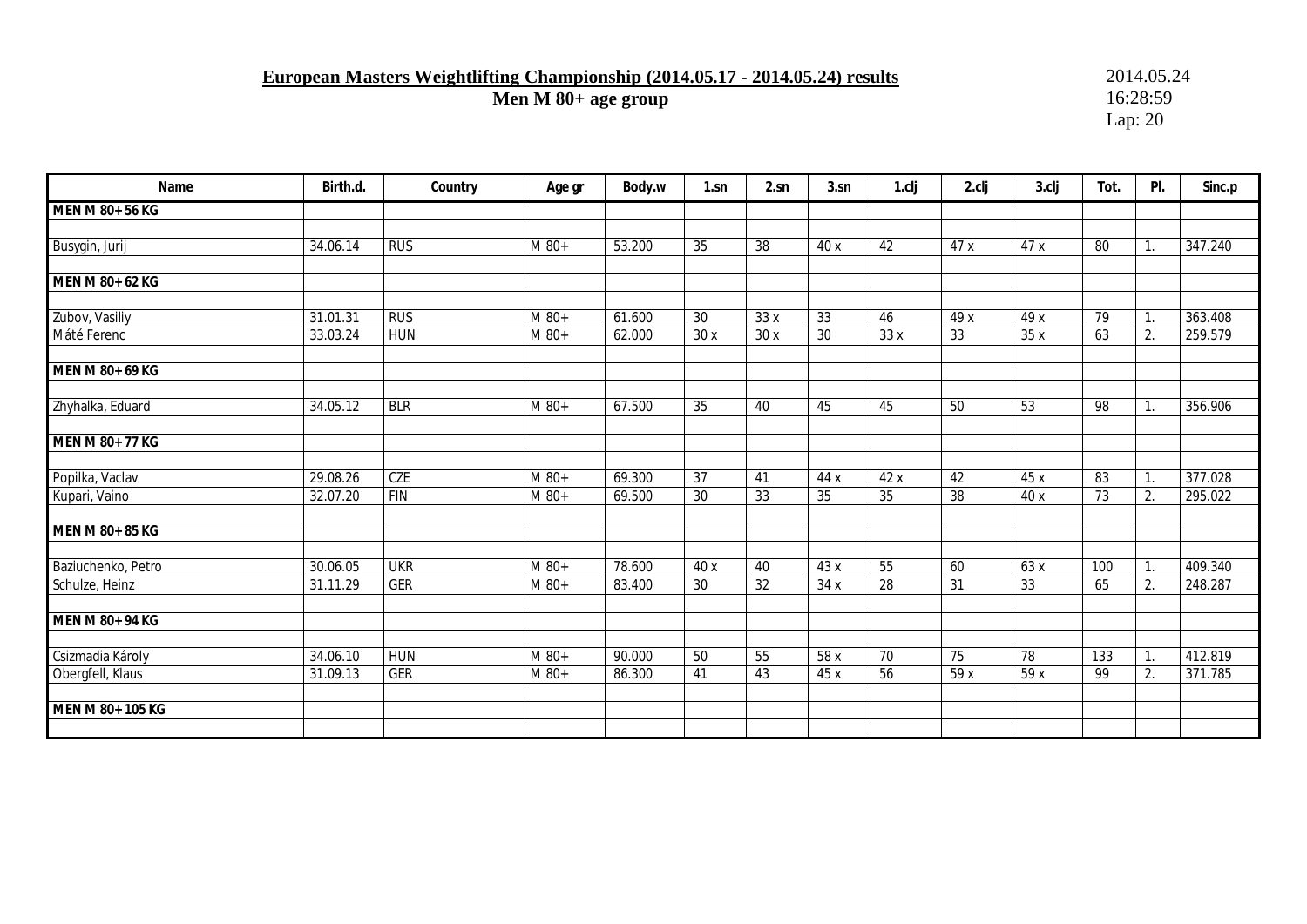**European Masters Weightlifting Championship (2014.05.17 - 2014.05.24) results** 2014.05.24<br>Men M 80+ age group 16:28:59

**Men M 80+ age group** 

| Name                                 | Birth.d. | Country    | Age gr             | Body.w | 1.sn            | 2.sn                  | 3.sn            | 1.clj                 | 2.clj           | 3.clj      | Tot.            | PI.      | Sinc.p  |
|--------------------------------------|----------|------------|--------------------|--------|-----------------|-----------------------|-----------------|-----------------------|-----------------|------------|-----------------|----------|---------|
| MEN M 80+ 56 KG                      |          |            |                    |        |                 |                       |                 |                       |                 |            |                 |          |         |
|                                      |          |            |                    |        |                 |                       |                 |                       |                 |            |                 |          |         |
| Busygin, Jurij                       | 34.06.14 | <b>RUS</b> | M 80+              | 53.200 | $\overline{35}$ | 38                    | 40 x            | 42                    | 47 x            | 47 x       | 80              | 1.       | 347.240 |
|                                      |          |            |                    |        |                 |                       |                 |                       |                 |            |                 |          |         |
| MEN M 80+ 62 KG                      |          |            |                    |        |                 |                       |                 |                       |                 |            |                 |          |         |
| Zubov, Vasiliy                       | 31.01.31 | RUS        | $M$ 80+            | 61.600 | $\overline{30}$ | 33x                   | 33              | 46                    | 49 x            | 49 x       | 79              | 1.       | 363.408 |
| Máté Ferenc                          | 33.03.24 | <b>HUN</b> | $M$ 80+            | 62.000 | 30x             | 30x                   | 30              | 33x                   | 33              | 35x        | 63              | 2.       | 259.579 |
|                                      |          |            |                    |        |                 |                       |                 |                       |                 |            |                 |          |         |
| MEN M 80+ 69 KG                      |          |            |                    |        |                 |                       |                 |                       |                 |            |                 |          |         |
|                                      |          |            |                    |        |                 |                       |                 |                       |                 |            |                 |          |         |
| Zhyhalka, Eduard                     | 34.05.12 | <b>BLR</b> | $M$ 80+            | 67.500 | 35              | 40                    | 45              | 45                    | 50              | 53         | 98              | 1.       | 356.906 |
| MEN M 80+ 77 KG                      |          |            |                    |        |                 |                       |                 |                       |                 |            |                 |          |         |
|                                      |          |            |                    |        |                 |                       |                 |                       |                 |            |                 |          |         |
| Popilka, Vaclav                      | 29.08.26 | <b>CZE</b> | M 80+              | 69.300 | $\overline{37}$ | 41                    | 44 x            | 42 x                  | 42              | 45 x       | 83              | 1.       | 377.028 |
| Kupari, Vaino                        | 32.07.20 | <b>FIN</b> | M 80+              | 69.500 | $\overline{30}$ | 33                    | $\overline{35}$ | $\overline{35}$       | $\overline{38}$ | 40 x       | $\overline{73}$ | 2.       | 295.022 |
|                                      |          |            |                    |        |                 |                       |                 |                       |                 |            |                 |          |         |
| MEN M 80+ 85 KG                      |          |            |                    |        |                 |                       |                 |                       |                 |            |                 |          |         |
|                                      | 30.06.05 | <b>UKR</b> | $\overline{M}$ 80+ | 78.600 | 40 x            |                       |                 |                       |                 |            | 100             |          | 409.340 |
| Baziuchenko, Petro<br>Schulze, Heinz | 31.11.29 | <b>GER</b> | M 80+              | 83.400 | 30              | 40<br>$\overline{32}$ | 43 x<br>34 x    | 55<br>$\overline{28}$ | 60<br>31        | 63 x<br>33 | 65              | 1.<br>2. | 248.287 |
|                                      |          |            |                    |        |                 |                       |                 |                       |                 |            |                 |          |         |
| MEN M 80+ 94 KG                      |          |            |                    |        |                 |                       |                 |                       |                 |            |                 |          |         |
|                                      |          |            |                    |        |                 |                       |                 |                       |                 |            |                 |          |         |
| Csizmadia Károly                     | 34.06.10 | <b>HUN</b> | M 80+              | 90.000 | 50              | 55                    | 58 x            | 70                    | 75              | 78         | 133             | 1.       | 412.819 |
| Obergfell, Klaus                     | 31.09.13 | <b>GER</b> | M 80+              | 86.300 | 41              | 43                    | 45 x            | $\overline{56}$       | 59 x            | 59 x       | 99              | 2.       | 371.785 |
|                                      |          |            |                    |        |                 |                       |                 |                       |                 |            |                 |          |         |
| MEN M 80+ 105 KG                     |          |            |                    |        |                 |                       |                 |                       |                 |            |                 |          |         |
|                                      |          |            |                    |        |                 |                       |                 |                       |                 |            |                 |          |         |